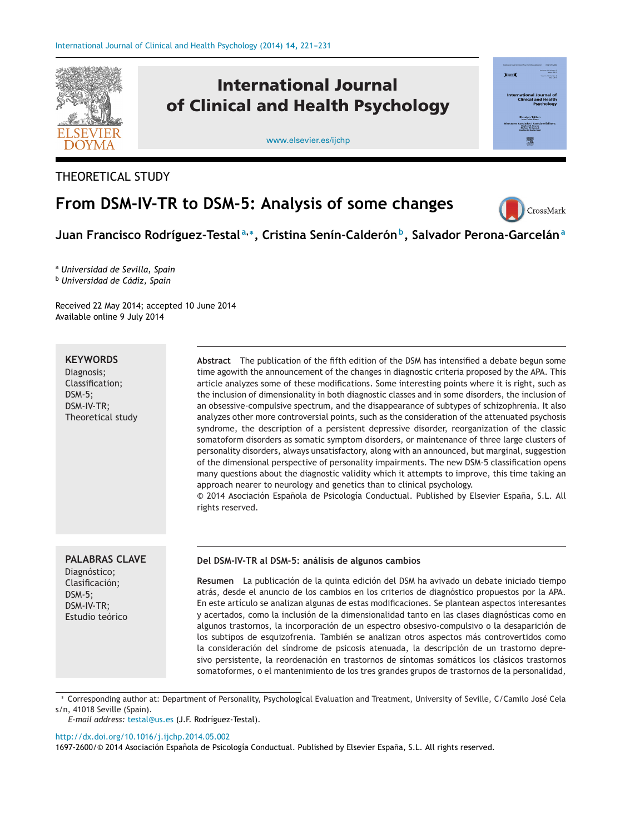

# **From DSM-IV-TR to DSM-5: Analysis of some changes**



# **Juan Francisco Rodríguez-Testal <sup>a</sup>,∗, Cristina Senín-Calderónb, Salvador Perona-Garcelán<sup>a</sup>**

<sup>a</sup> *Universidad de Sevilla, Spain*

<sup>b</sup> *Universidad de Cádiz, Spain*

Received 22 May 2014; accepted 10 June 2014 Available online 9 July 2014

#### **KEYWORDS**

Diagnosis; Classification; DSM-5; DSM-IV-TR; Theoretical study **Abstract** The publication of the fifth edition of the DSM has intensified a debate begun some time agowith the announcement of the changes in diagnostic criteria proposed by the APA. This article analyzes some of these modifications. Some interesting points where it is right, such as the inclusion of dimensionality in both diagnostic classes and in some disorders, the inclusion of an obsessive-compulsive spectrum, and the disappearance of subtypes of schizophrenia. It also analyzes other more controversial points, such as the consideration of the attenuated psychosis syndrome, the description of a persistent depressive disorder, reorganization of the classic somatoform disorders as somatic symptom disorders, or maintenance of three large clusters of personality disorders, always unsatisfactory, along with an announced, but marginal, suggestion of the dimensional perspective of personality impairments. The new DSM-5 classification opens many questions about the diagnostic validity which it attempts to improve, this time taking an approach nearer to neurology and genetics than to clinical psychology. © 2014 Asociación Española de Psicología Conductual. Published by Elsevier España, S.L. All

rights reserved.

#### **PALABRAS CLAVE** Diagnóstico; Clasificación; DSM-5; DSM-IV-TR; Estudio teórico

#### **Del DSM-IV-TR al DSM-5: análisis de algunos cambios**

**Resumen** La publicación de la quinta edición del DSM ha avivado un debate iniciado tiempo atrás, desde el anuncio de los cambios en los criterios de diagnóstico propuestos por la APA. En este artículo se analizan algunas de estas modificaciones. Se plantean aspectos interesantes y acertados, como la inclusión de la dimensionalidad tanto en las clases diagnósticas como en algunos trastornos, la incorporación de un espectro obsesivo-compulsivo o la desaparición de los subtipos de esquizofrenia. También se analizan otros aspectos más controvertidos como la consideración del síndrome de psicosis atenuada, la descripción de un trastorno depresivo persistente, la reordenación en trastornos de síntomas somáticos los clásicos trastornos somatoformes, o el mantenimiento de los tres grandes grupos de trastornos de la personalidad,

∗ Corresponding author at: Department of Personality, Psychological Evaluation and Treatment, University of Seville, C/Camilo José Cela s/n, 41018 Seville (Spain).

*E-mail address:* [testal@us.es](mailto:testal@us.es) (J.F. Rodríguez-Testal).

[http://dx.doi.org/10.1016/j.ijchp.2014.05.002](dx.doi.org/10.1016/j.ijchp.2014.05.002)

1697-2600/© 2014 Asociación Española de Psicología Conductual. Published by Elsevier España, S.L. All rights reserved.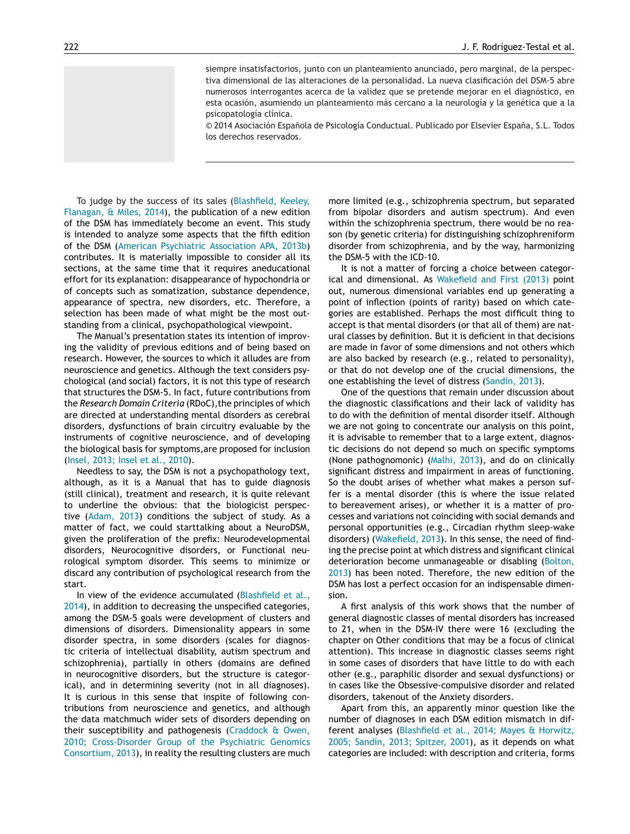siempre insatisfactorios, junto con un planteamiento anunciado, pero marginal, de la perspectiva dimensional de las alteraciones de la personalidad. La nueva clasificación del DSM-5 abre numerosos interrogantes acerca de la validez que se pretende mejorar en el diagnóstico, en esta ocasión, asumiendo un planteamiento más cercano a la neurología y la genética que a la psicopatología clínica.

© 2014 Asociación Española de Psicología Conductual. Publicado por Elsevier España, S.L. Todos los derechos reservados.

To judge by the success of its sales ([Blashfield,](#page-8-0) [Keeley,](#page-8-0) [Flanagan,](#page-8-0) [&](#page-8-0) [Miles,](#page-8-0) [2014\),](#page-8-0) the publication of a new edition of the DSM has immediately become an event. This study is intended to analyze some aspects that the fifth edition of the DSM [\(American](#page-8-0) [Psychiatric](#page-8-0) [Association](#page-8-0) [APA,](#page-8-0) [2013b\)](#page-8-0) contributes. It is materially impossible to consider all its sections, at the same time that it requires aneducational effort for its explanation: disappearance of hypochondria or of concepts such as somatization, substance dependence, appearance of spectra, new disorders, etc. Therefore, a selection has been made of what might be the most outstanding from a clinical, psychopathological viewpoint.

The Manual's presentation states its intention of improving the validity of previous editions and of being based on research. However, the sources to which it alludes are from neuroscience and genetics. Although the text considers psychological (and social) factors, it is not this type of research that structures the DSM-5. In fact, future contributions from the *Research Domain Criteria* (RDoC),the principles of which are directed at understanding mental disorders as cerebral disorders, dysfunctions of brain circuitry evaluable by the instruments of cognitive neuroscience, and of developing the biological basis for symptoms,are proposed for inclusion [\(Insel,](#page-9-0) [2013;](#page-9-0) [Insel](#page-9-0) et [al.,](#page-9-0) [2010\).](#page-9-0)

Needless to say, the DSM is not a psychopathology text, although, as it is a Manual that has to guide diagnosis (still clinical), treatment and research, it is quite relevant to underline the obvious: that the biologicist perspective [\(Adam,](#page-8-0) [2013\)](#page-8-0) conditions the subject of study. As a matter of fact, we could starttalking about a NeuroDSM, given the proliferation of the prefix: Neurodevelopmental disorders, Neurocognitive disorders, or Functional neurological symptom disorder. This seems to minimize or discard any contribution of psychological research from the start.

In view of the evidence accumulated [\(Blashfield](#page-8-0) et [al.,](#page-8-0) [2014\),](#page-8-0) in addition to decreasing the unspecified categories, among the DSM-5 goals were development of clusters and dimensions of disorders. Dimensionality appears in some disorder spectra, in some disorders (scales for diagnostic criteria of intellectual disability, autism spectrum and schizophrenia), partially in others (domains are defined in neurocognitive disorders, but the structure is categorical), and in determining severity (not in all diagnoses). It is curious in this sense that inspite of following contributions from neuroscience and genetics, and although the data matchmuch wider sets of disorders depending on their susceptibility and pathogenesis ([Craddock](#page-8-0) [&](#page-8-0) [Owen,](#page-8-0) [2010;](#page-8-0) [Cross-Disorder](#page-8-0) [Group](#page-8-0) [of](#page-8-0) [the](#page-8-0) [Psychiatric](#page-8-0) [Genomics](#page-8-0) [Consortium,](#page-8-0) [2013\),](#page-8-0) in reality the resulting clusters are much more limited (e.g., schizophrenia spectrum, but separated from bipolar disorders and autism spectrum). And even within the schizophrenia spectrum, there would be no reason (by genetic criteria) for distinguishing schizophreniform disorder from schizophrenia, and by the way, harmonizing the DSM-5 with the ICD-10.

It is not a matter of forcing a choice between categorical and dimensional. As [Wakefield](#page-10-0) [and](#page-10-0) [First](#page-10-0) [\(2013\)](#page-10-0) point out, numerous dimensional variables end up generating a point of inflection (points of rarity) based on which categories are established. Perhaps the most difficult thing to accept is that mental disorders (or that all of them) are natural classes by definition. But it is deficient in that decisions are made in favor of some dimensions and not others which are also backed by research (e.g., related to personality), or that do not develop one of the crucial dimensions, the one establishing the level of distress ([Sandín,](#page-10-0) [2013\).](#page-10-0)

One of the questions that remain under discussion about the diagnostic classifications and their lack of validity has to do with the definition of mental disorder itself. Although we are not going to concentrate our analysis on this point, it is advisable to remember that to a large extent, diagnostic decisions do not depend so much on specific symptoms (None pathognomonic) [\(Malhi,](#page-9-0) [2013\),](#page-9-0) and do on clinically significant distress and impairment in areas of functioning. So the doubt arises of whether what makes a person suffer is a mental disorder (this is where the issue related to bereavement arises), or whether it is a matter of processes and variations not coinciding with social demands and personal opportunities (e.g., Circadian rhythm sleep-wake disorders) [\(Wakefield,](#page-10-0) [2013\).](#page-10-0) In this sense, the need of finding the precise point at which distress and significant clinical deterioration become unmanageable or disabling ([Bolton,](#page-8-0) [2013\)](#page-8-0) has been noted. Therefore, the new edition of the DSM has lost a perfect occasion for an indispensable dimension.

A first analysis of this work shows that the number of general diagnostic classes of mental disorders has increased to 21, when in the DSM-IV there were 16 (excluding the chapter on Other conditions that may be a focus of clinical attention). This increase in diagnostic classes seems right in some cases of disorders that have little to do with each other (e.g., paraphilic disorder and sexual dysfunctions) or in cases like the Obsessive-compulsive disorder and related disorders, takenout of the Anxiety disorders.

Apart from this, an apparently minor question like the number of diagnoses in each DSM edition mismatch in different analyses [\(Blashfield](#page-8-0) et [al.,](#page-8-0) [2014;](#page-8-0) [Mayes](#page-8-0) [&](#page-8-0) [Horwitz,](#page-8-0) [2005;](#page-8-0) [Sandín,](#page-8-0) [2013;](#page-8-0) [Spitzer,](#page-8-0) [2001\),](#page-8-0) as it depends on what categories are included: with description and criteria, forms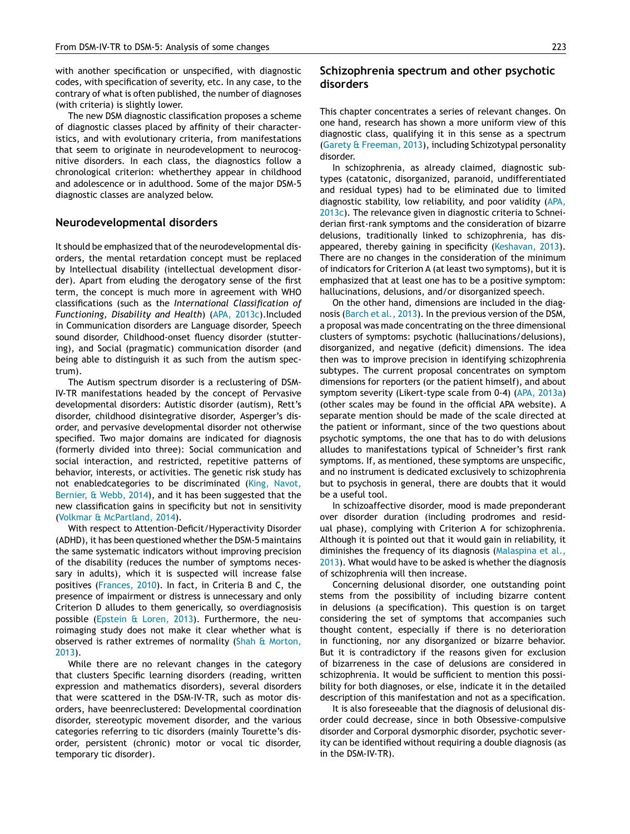with another specification or unspecified, with diagnostic codes, with specification of severity, etc. In any case, to the contrary of what is often published, the number of diagnoses (with criteria) is slightly lower.

The new DSM diagnostic classification proposes a scheme of diagnostic classes placed by affinity of their characteristics, and with evolutionary criteria, from manifestations that seem to originate in neurodevelopment to neurocognitive disorders. In each class, the diagnostics follow a chronological criterion: whetherthey appear in childhood and adolescence or in adulthood. Some of the major DSM-5 diagnostic classes are analyzed below.

# **Neurodevelopmental disorders**

It should be emphasized that of the neurodevelopmental disorders, the mental retardation concept must be replaced by Intellectual disability (intellectual development disorder). Apart from eluding the derogatory sense of the first term, the concept is much more in agreement with WHO classifications (such as the *International Classification of Functioning, Disability and Health*) ([APA,](#page-8-0) [2013c\).](#page-8-0)Included in Communication disorders are Language disorder, Speech sound disorder, Childhood-onset fluency disorder (stuttering), and Social (pragmatic) communication disorder (and being able to distinguish it as such from the autism spectrum).

The Autism spectrum disorder is a reclustering of DSM-IV-TR manifestations headed by the concept of Pervasive developmental disorders: Autistic disorder (autism), Rett's disorder, childhood disintegrative disorder, Asperger's disorder, and pervasive developmental disorder not otherwise specified. Two major domains are indicated for diagnosis (formerly divided into three): Social communication and social interaction, and restricted, repetitive patterns of behavior, interests, or activities. The genetic risk study has not enabledcategories to be discriminated [\(King,](#page-9-0) [Navot,](#page-9-0) [Bernier,](#page-9-0) [&](#page-9-0) [Webb,](#page-9-0) [2014\),](#page-9-0) and it has been suggested that the new classification gains in specificity but not in sensitivity ([Volkmar](#page-10-0) [&](#page-10-0) [McPartland,](#page-10-0) [2014\).](#page-10-0)

With respect to Attention-Deficit/Hyperactivity Disorder (ADHD), it has been questioned whether the DSM-5 maintains the same systematic indicators without improving precision of the disability (reduces the number of symptoms necessary in adults), which it is suspected will increase false positives [\(Frances,](#page-8-0) [2010\).](#page-8-0) In fact, in Criteria B and C, the presence of impairment or distress is unnecessary and only Criterion D alludes to them generically, so overdiagnosisis possible [\(Epstein](#page-8-0) [&](#page-8-0) [Loren,](#page-8-0) [2013\).](#page-8-0) Furthermore, the neuroimaging study does not make it clear whether what is observed is rather extremes of normality [\(Shah](#page-10-0) [&](#page-10-0) [Morton,](#page-10-0) [2013\).](#page-10-0)

While there are no relevant changes in the category that clusters Specific learning disorders (reading, written expression and mathematics disorders), several disorders that were scattered in the DSM-IV-TR, such as motor disorders, have beenreclustered: Developmental coordination disorder, stereotypic movement disorder, and the various categories referring to tic disorders (mainly Tourette's disorder, persistent (chronic) motor or vocal tic disorder, temporary tic disorder).

# **Schizophrenia spectrum and other psychotic disorders**

This chapter concentrates a series of relevant changes. On one hand, research has shown a more uniform view of this diagnostic class, qualifying it in this sense as a spectrum ([Garety](#page-9-0) [&](#page-9-0) [Freeman,](#page-9-0) [2013\),](#page-9-0) including Schizotypal personality disorder.

In schizophrenia, as already claimed, diagnostic subtypes (catatonic, disorganized, paranoid, undifferentiated and residual types) had to be eliminated due to limited diagnostic stability, low reliability, and poor validity ([APA,](#page-8-0) [2013c\).](#page-8-0) The relevance given in diagnostic criteria to Schneiderian first-rank symptoms and the consideration of bizarre delusions, traditionally linked to schizophrenia, has disappeared, thereby gaining in specificity [\(Keshavan,](#page-9-0) [2013\).](#page-9-0) There are no changes in the consideration of the minimum of indicators for Criterion A (at least two symptoms), but it is emphasized that at least one has to be a positive symptom: hallucinations, delusions, and/or disorganized speech.

On the other hand, dimensions are included in the diagnosis [\(Barch](#page-8-0) et [al.,](#page-8-0) [2013\).](#page-8-0) In the previous version of the DSM, a proposal was made concentrating on the three dimensional clusters of symptoms: psychotic (hallucinations/delusions), disorganized, and negative (deficit) dimensions. The idea then was to improve precision in identifying schizophrenia subtypes. The current proposal concentrates on symptom dimensions for reporters (or the patient himself), and about symptom severity (Likert-type scale from 0-4) [\(APA,](#page-8-0) [2013a\)](#page-8-0) (other scales may be found in the official APA website). A separate mention should be made of the scale directed at the patient or informant, since of the two questions about psychotic symptoms, the one that has to do with delusions alludes to manifestations typical of Schneider's first rank symptoms. If, as mentioned, these symptoms are unspecific, and no instrument is dedicated exclusively to schizophrenia but to psychosis in general, there are doubts that it would be a useful tool.

In schizoaffective disorder, mood is made preponderant over disorder duration (including prodromes and residual phase), complying with Criterion A for schizophrenia. Although it is pointed out that it would gain in reliability, it diminishes the frequency of its diagnosis ([Malaspina](#page-9-0) et [al.,](#page-9-0) [2013\).](#page-9-0) What would have to be asked is whether the diagnosis of schizophrenia will then increase.

Concerning delusional disorder, one outstanding point stems from the possibility of including bizarre content in delusions (a specification). This question is on target considering the set of symptoms that accompanies such thought content, especially if there is no deterioration in functioning, nor any disorganized or bizarre behavior. But it is contradictory if the reasons given for exclusion of bizarreness in the case of delusions are considered in schizophrenia. It would be sufficient to mention this possibility for both diagnoses, or else, indicate it in the detailed description of this manifestation and not as a specification.

It is also foreseeable that the diagnosis of delusional disorder could decrease, since in both Obsessive-compulsive disorder and Corporal dysmorphic disorder, psychotic severity can be identified without requiring a double diagnosis (as in the DSM-IV-TR).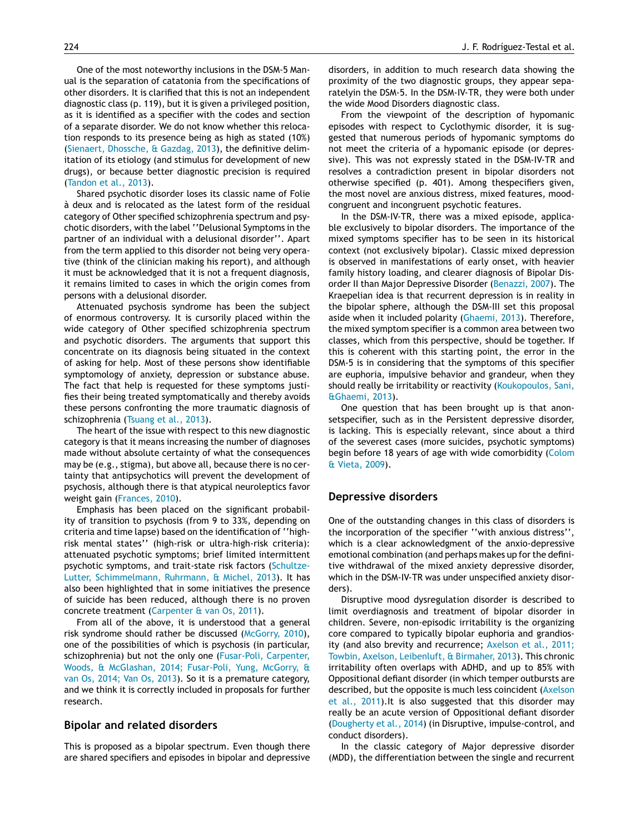One of the most noteworthy inclusions in the DSM-5 Manual is the separation of catatonia from the specifications of other disorders. It is clarified that this is not an independent diagnostic class (p. 119), but it is given a privileged position, as it is identified as a specifier with the codes and section of a separate disorder. We do not know whether this relocation responds to its presence being as high as stated (10%) [\(Sienaert,](#page-10-0) [Dhossche,](#page-10-0) [&](#page-10-0) [Gazdag,](#page-10-0) [2013\),](#page-10-0) the definitive delimitation of its etiology (and stimulus for development of new drugs), or because better diagnostic precision is required [\(Tandon](#page-10-0) et [al.,](#page-10-0) [2013\).](#page-10-0)

Shared psychotic disorder loses its classic name of Folie à deux and is relocated as the latest form of the residual category of Other specified schizophrenia spectrum and psychotic disorders, with the label ''Delusional Symptoms in the partner of an individual with a delusional disorder''. Apart from the term applied to this disorder not being very operative (think of the clinician making his report), and although it must be acknowledged that it is not a frequent diagnosis, it remains limited to cases in which the origin comes from persons with a delusional disorder.

Attenuated psychosis syndrome has been the subject of enormous controversy. It is cursorily placed within the wide category of Other specified schizophrenia spectrum and psychotic disorders. The arguments that support this concentrate on its diagnosis being situated in the context of asking for help. Most of these persons show identifiable symptomology of anxiety, depression or substance abuse. The fact that help is requested for these symptoms justifies their being treated symptomatically and thereby avoids these persons confronting the more traumatic diagnosis of schizophrenia ([Tsuang](#page-10-0) et [al.,](#page-10-0) [2013\).](#page-10-0)

The heart of the issue with respect to this new diagnostic category is that it means increasing the number of diagnoses made without absolute certainty of what the consequences may be (e.g., stigma), but above all, because there is no certainty that antipsychotics will prevent the development of psychosis, although there is that atypical neuroleptics favor weight gain [\(Frances,](#page-8-0) [2010\).](#page-8-0)

Emphasis has been placed on the significant probability of transition to psychosis (from 9 to 33%, depending on criteria and time lapse) based on the identification of ''highrisk mental states'' (high-risk or ultra-high-risk criteria): attenuated psychotic symptoms; brief limited intermittent psychotic symptoms, and trait-state risk factors ([Schultze-](#page-10-0)Lutter, [Schimmelmann,](#page-10-0) [Ruhrmann,](#page-10-0) [&](#page-10-0) [Michel,](#page-10-0) [2013\).](#page-10-0) It has also been highlighted that in some initiatives the presence of suicide has been reduced, although there is no proven concrete treatment ([Carpenter](#page-8-0) [&](#page-8-0) [van](#page-8-0) [Os,](#page-8-0) [2011\).](#page-8-0)

From all of the above, it is understood that a general risk syndrome should rather be discussed ([McGorry,](#page-9-0) [2010\),](#page-9-0) one of the possibilities of which is psychosis (in particular, schizophrenia) but not the only one [\(Fusar-Poli,](#page-9-0) [Carpenter,](#page-9-0) [Woods,](#page-9-0) [&](#page-9-0) [McGlashan,](#page-9-0) [2014;](#page-9-0) [Fusar-Poli,](#page-9-0) [Yung,](#page-9-0) [McGorry,](#page-9-0) [&](#page-9-0) [van](#page-9-0) [Os,](#page-9-0) [2014;](#page-9-0) [Van](#page-9-0) [Os,](#page-9-0) [2013\).](#page-9-0) So it is a premature category, and we think it is correctly included in proposals for further research.

#### **Bipolar and related disorders**

This is proposed as a bipolar spectrum. Even though there are shared specifiers and episodes in bipolar and depressive disorders, in addition to much research data showing the proximity of the two diagnostic groups, they appear separatelyin the DSM-5. In the DSM-IV-TR, they were both under the wide Mood Disorders diagnostic class.

From the viewpoint of the description of hypomanic episodes with respect to Cyclothymic disorder, it is suggested that numerous periods of hypomanic symptoms do not meet the criteria of a hypomanic episode (or depressive). This was not expressly stated in the DSM-IV-TR and resolves a contradiction present in bipolar disorders not otherwise specified (p. 401). Among thespecifiers given, the most novel are anxious distress, mixed features, moodcongruent and incongruent psychotic features.

In the DSM-IV-TR, there was a mixed episode, applicable exclusively to bipolar disorders. The importance of the mixed symptoms specifier has to be seen in its historical context (not exclusively bipolar). Classic mixed depression is observed in manifestations of early onset, with heavier family history loading, and clearer diagnosis of Bipolar Disorder II than Major Depressive Disorder [\(Benazzi,](#page-8-0) [2007\).](#page-8-0) The Kraepelian idea is that recurrent depression is in reality in the bipolar sphere, although the DSM-III set this proposal aside when it included polarity [\(Ghaemi,](#page-9-0) [2013\).](#page-9-0) Therefore, the mixed symptom specifier is a common area between two classes, which from this perspective, should be together. If this is coherent with this starting point, the error in the DSM-5 is in considering that the symptoms of this specifier are euphoria, impulsive behavior and grandeur, when they should really be irritability or reactivity ([Koukopoulos,](#page-9-0) [Sani,](#page-9-0) [&Ghaemi,](#page-9-0) [2013\).](#page-9-0)

One question that has been brought up is that anonsetspecifier, such as in the Persistent depressive disorder, is lacking. This is especially relevant, since about a third of the severest cases (more suicides, psychotic symptoms) begin before 18 years of age with wide comorbidity ([Colom](#page-8-0) [&](#page-8-0) [Vieta,](#page-8-0) [2009\).](#page-8-0)

#### **Depressive disorders**

One of the outstanding changes in this class of disorders is the incorporation of the specifier ''with anxious distress'', which is a clear acknowledgment of the anxio-depressive emotional combination (and perhaps makes up for the definitive withdrawal of the mixed anxiety depressive disorder, which in the DSM-IV-TR was under unspecified anxiety disorders).

Disruptive mood dysregulation disorder is described to limit overdiagnosis and treatment of bipolar disorder in children. Severe, non-episodic irritability is the organizing core compared to typically bipolar euphoria and grandiosity (and also brevity and recurrence; [Axelson](#page-8-0) et [al.,](#page-8-0) [2011;](#page-8-0) [Towbin,](#page-8-0) [Axelson,](#page-8-0) [Leibenluft,](#page-8-0) [&](#page-8-0) [Birmaher,](#page-8-0) [2013\).](#page-8-0) This chronic irritability often overlaps with ADHD, and up to 85% with Oppositional defiant disorder (in which temper outbursts are described, but the opposite is much less coincident [\(Axelson](#page-8-0) et [al.,](#page-8-0) [2011\).](#page-8-0)It is also suggested that this disorder may really be an acute version of Oppositional defiant disorder [\(Dougherty](#page-8-0) et [al.,](#page-8-0) [2014\)](#page-8-0) (in Disruptive, impulse-control, and conduct disorders).

In the classic category of Major depressive disorder (MDD), the differentiation between the single and recurrent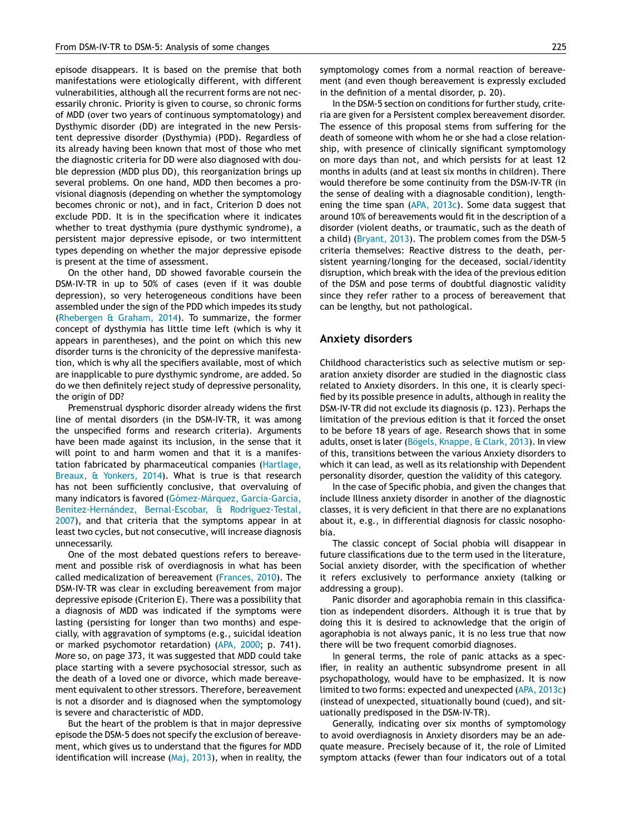episode disappears. It is based on the premise that both manifestations were etiologically different, with different vulnerabilities, although all the recurrent forms are not necessarily chronic. Priority is given to course, so chronic forms of MDD (over two years of continuous symptomatology) and Dysthymic disorder (DD) are integrated in the new Persistent depressive disorder (Dysthymia) (PDD). Regardless of its already having been known that most of those who met the diagnostic criteria for DD were also diagnosed with double depression (MDD plus DD), this reorganization brings up several problems. On one hand, MDD then becomes a provisional diagnosis (depending on whether the symptomology becomes chronic or not), and in fact, Criterion D does not exclude PDD. It is in the specification where it indicates whether to treat dysthymia (pure dysthymic syndrome), a persistent major depressive episode, or two intermittent types depending on whether the major depressive episode is present at the time of assessment.

On the other hand, DD showed favorable coursein the DSM-IV-TR in up to 50% of cases (even if it was double depression), so very heterogeneous conditions have been assembled under the sign of the PDD which impedes its study ([Rhebergen](#page-10-0) [&](#page-10-0) [Graham,](#page-10-0) [2014\).](#page-10-0) To summarize, the former concept of dysthymia has little time left (which is why it appears in parentheses), and the point on which this new disorder turns is the chronicity of the depressive manifestation, which is why all the specifiers available, most of which are inapplicable to pure dysthymic syndrome, are added. So do we then definitely reject study of depressive personality, the origin of DD?

Premenstrual dysphoric disorder already widens the first line of mental disorders (in the DSM-IV-TR, it was among the unspecified forms and research criteria). Arguments have been made against its inclusion, in the sense that it will point to and harm women and that it is a manifestation fabricated by pharmaceutical companies ([Hartlage,](#page-9-0) [Breaux,](#page-9-0) [&](#page-9-0) [Yonkers,](#page-9-0) [2014\).](#page-9-0) What is true is that research has not been sufficiently conclusive, that overvaluing of many indicators is favored [\(Gómez-Márquez,](#page-9-0) [García-García,](#page-9-0) [Benítez-Hernández,](#page-9-0) [Bernal-Escobar,](#page-9-0) [&](#page-9-0) [Rodríguez-Testal,](#page-9-0) [2007\),](#page-9-0) and that criteria that the symptoms appear in at least two cycles, but not consecutive, will increase diagnosis unnecessarily.

One of the most debated questions refers to bereavement and possible risk of overdiagnosis in what has been called medicalization of bereavement ([Frances,](#page-8-0) [2010\).](#page-8-0) The DSM-IV-TR was clear in excluding bereavement from major depressive episode (Criterion E). There was a possibility that a diagnosis of MDD was indicated if the symptoms were lasting (persisting for longer than two months) and especially, with aggravation of symptoms (e.g., suicidal ideation or marked psychomotor retardation) ([APA,](#page-8-0) [2000;](#page-8-0) p. 741). More so, on page 373, it was suggested that MDD could take place starting with a severe psychosocial stressor, such as the death of a loved one or divorce, which made bereavement equivalent to other stressors. Therefore, bereavement is not a disorder and is diagnosed when the symptomology is severe and characteristic of MDD.

But the heart of the problem is that in major depressive episode the DSM-5 does not specify the exclusion of bereavement, which gives us to understand that the figures for MDD identification will increase [\(Maj,](#page-9-0) [2013\),](#page-9-0) when in reality, the symptomology comes from a normal reaction of bereavement (and even though bereavement is expressly excluded in the definition of a mental disorder, p. 20).

In the DSM-5 section on conditions for further study, criteria are given for a Persistent complex bereavement disorder. The essence of this proposal stems from suffering for the death of someone with whom he or she had a close relationship, with presence of clinically significant symptomology on more days than not, and which persists for at least 12 months in adults (and at least six months in children). There would therefore be some continuity from the DSM-IV-TR (in the sense of dealing with a diagnosable condition), lengthening the time span [\(APA,](#page-8-0) [2013c\).](#page-8-0) Some data suggest that around 10% of bereavements would fit in the description of a disorder (violent deaths, or traumatic, such as the death of a child) ([Bryant,](#page-8-0) [2013\).](#page-8-0) The problem comes from the DSM-5 criteria themselves: Reactive distress to the death, persistent yearning/longing for the deceased, social/identity disruption, which break with the idea of the previous edition of the DSM and pose terms of doubtful diagnostic validity since they refer rather to a process of bereavement that can be lengthy, but not pathological.

#### **Anxiety disorders**

Childhood characteristics such as selective mutism or separation anxiety disorder are studied in the diagnostic class related to Anxiety disorders. In this one, it is clearly specified by its possible presence in adults, although in reality the DSM-IV-TR did not exclude its diagnosis (p. 123). Perhaps the limitation of the previous edition is that it forced the onset to be before 18 years of age. Research shows that in some adults, onset is later ([Bögels,](#page-8-0) [Knappe,](#page-8-0) [&](#page-8-0) [Clark,](#page-8-0) [2013\).](#page-8-0) In view of this, transitions between the various Anxiety disorders to which it can lead, as well as its relationship with Dependent personality disorder, question the validity of this category.

In the case of Specific phobia, and given the changes that include Illness anxiety disorder in another of the diagnostic classes, it is very deficient in that there are no explanations about it, e.g., in differential diagnosis for classic nosophobia.

The classic concept of Social phobia will disappear in future classifications due to the term used in the literature, Social anxiety disorder, with the specification of whether it refers exclusively to performance anxiety (talking or addressing a group).

Panic disorder and agoraphobia remain in this classification as independent disorders. Although it is true that by doing this it is desired to acknowledge that the origin of agoraphobia is not always panic, it is no less true that now there will be two frequent comorbid diagnoses.

In general terms, the role of panic attacks as a specifier, in reality an authentic subsyndrome present in all psychopathology, would have to be emphasized. It is now limited to two forms: expected and unexpected [\(APA,](#page-8-0) [2013c\)](#page-8-0) (instead of unexpected, situationally bound (cued), and situationally predisposed in the DSM-IV-TR).

Generally, indicating over six months of symptomology to avoid overdiagnosis in Anxiety disorders may be an adequate measure. Precisely because of it, the role of Limited symptom attacks (fewer than four indicators out of a total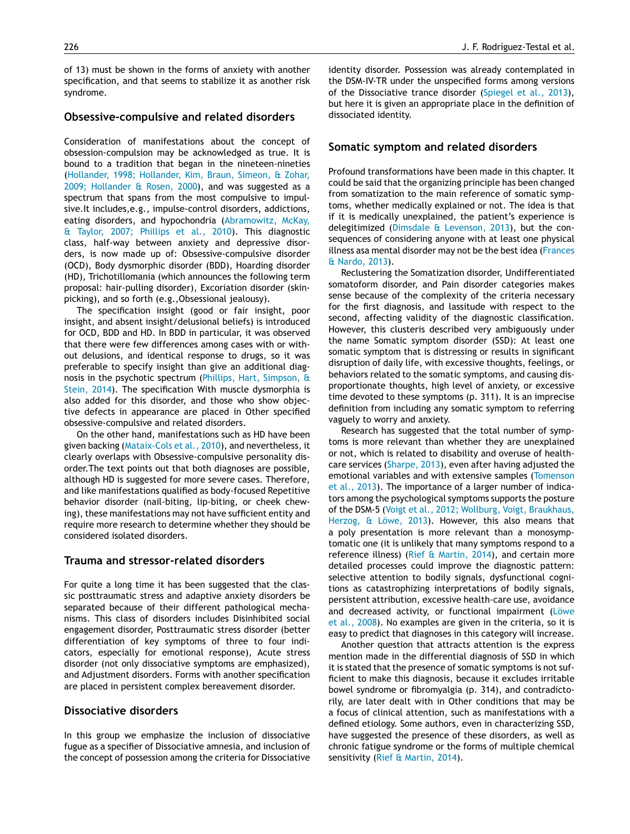of 13) must be shown in the forms of anxiety with another specification, and that seems to stabilize it as another risk syndrome.

## **Obsessive-compulsive and related disorders**

Consideration of manifestations about the concept of obsession-compulsion may be acknowledged as true. It is bound to a tradition that began in the nineteen-nineties [\(Hollander,](#page-9-0) [1998;](#page-9-0) [Hollander,](#page-9-0) [Kim,](#page-9-0) [Braun,](#page-9-0) [Simeon,](#page-9-0) [&](#page-9-0) [Zohar,](#page-9-0) [2009;](#page-9-0) [Hollander](#page-9-0) [&](#page-9-0) [Rosen,](#page-9-0) [2000\),](#page-9-0) and was suggested as a spectrum that spans from the most compulsive to impulsive.It includes,e.g., impulse-control disorders, addictions, eating disorders, and hypochondria ([Abramowitz,](#page-8-0) [McKay,](#page-8-0) [&](#page-8-0) [Taylor,](#page-8-0) [2007;](#page-8-0) [Phillips](#page-8-0) et [al.,](#page-8-0) [2010\).](#page-8-0) This diagnostic class, half-way between anxiety and depressive disorders, is now made up of: Obsessive-compulsive disorder (OCD), Body dysmorphic disorder (BDD), Hoarding disorder (HD), Trichotillomania (which announces the following term proposal: hair-pulling disorder), Excoriation disorder (skinpicking), and so forth (e.g.,Obsessional jealousy).

The specification insight (good or fair insight, poor insight, and absent insight/delusional beliefs) is introduced for OCD, BDD and HD. In BDD in particular, it was observed that there were few differences among cases with or without delusions, and identical response to drugs, so it was preferable to specify insight than give an additional diagnosis in the psychotic spectrum [\(Phillips,](#page-10-0) [Hart,](#page-10-0) [Simpson,](#page-10-0) [&](#page-10-0) [Stein,](#page-10-0) [2014\).](#page-10-0) The specification With muscle dysmorphia is also added for this disorder, and those who show objective defects in appearance are placed in Other specified obsessive-compulsive and related disorders.

On the other hand, manifestations such as HD have been given backing ([Mataix-Cols](#page-9-0) et [al.,](#page-9-0) [2010\),](#page-9-0) and nevertheless, it clearly overlaps with Obsessive-compulsive personality disorder.The text points out that both diagnoses are possible, although HD is suggested for more severe cases. Therefore, and like manifestations qualified as body-focused Repetitive behavior disorder (nail-biting, lip-biting, or cheek chewing), these manifestations may not have sufficient entity and require more research to determine whether they should be considered isolated disorders.

# **Trauma and stressor-related disorders**

For quite a long time it has been suggested that the classic posttraumatic stress and adaptive anxiety disorders be separated because of their different pathological mechanisms. This class of disorders includes Disinhibited social engagement disorder, Posttraumatic stress disorder (better differentiation of key symptoms of three to four indicators, especially for emotional response), Acute stress disorder (not only dissociative symptoms are emphasized), and Adjustment disorders. Forms with another specification are placed in persistent complex bereavement disorder.

# **Dissociative disorders**

In this group we emphasize the inclusion of dissociative fugue as a specifier of Dissociative amnesia, and inclusion of the concept of possession among the criteria for Dissociative identity disorder. Possession was already contemplated in the DSM-IV-TR under the unspecified forms among versions of the Dissociative trance disorder ([Spiegel](#page-10-0) et [al.,](#page-10-0) [2013\),](#page-10-0) but here it is given an appropriate place in the definition of dissociated identity.

#### **Somatic symptom and related disorders**

Profound transformations have been made in this chapter. It could be said that the organizing principle has been changed from somatization to the main reference of somatic symptoms, whether medically explained or not. The idea is that if it is medically unexplained, the patient's experience is delegitimized [\(Dimsdale](#page-8-0) [&](#page-8-0) [Levenson,](#page-8-0) [2013\),](#page-8-0) but the consequences of considering anyone with at least one physical illness asa mental disorder may not be the best idea [\(Frances](#page-9-0) [&](#page-9-0) [Nardo,](#page-9-0) [2013\).](#page-9-0)

Reclustering the Somatization disorder, Undifferentiated somatoform disorder, and Pain disorder categories makes sense because of the complexity of the criteria necessary for the first diagnosis, and lassitude with respect to the second, affecting validity of the diagnostic classification. However, this clusteris described very ambiguously under the name Somatic symptom disorder (SSD): At least one somatic symptom that is distressing or results in significant disruption of daily life, with excessive thoughts, feelings, or behaviors related to the somatic symptoms, and causing disproportionate thoughts, high level of anxiety, or excessive time devoted to these symptoms (p. 311). It is an imprecise definition from including any somatic symptom to referring vaguely to worry and anxiety.

Research has suggested that the total number of symptoms is more relevant than whether they are unexplained or not, which is related to disability and overuse of healthcare services ([Sharpe,](#page-10-0) [2013\),](#page-10-0) even after having adjusted the emotional variables and with extensive samples ([Tomenson](#page-10-0) et [al.,](#page-10-0) [2013\).](#page-10-0) The importance of a larger number of indicators among the psychological symptoms supports the posture of the DSM-5 [\(Voigt](#page-10-0) et [al.,](#page-10-0) [2012;](#page-10-0) [Wollburg,](#page-10-0) [Voigt,](#page-10-0) [Braukhaus,](#page-10-0) [Herzog,](#page-10-0) [&](#page-10-0) [Löwe,](#page-10-0) [2013\).](#page-10-0) However, this also means that a poly presentation is more relevant than a monosymptomatic one (it is unlikely that many symptoms respond to a reference illness) ([Rief](#page-10-0) [&](#page-10-0) [Martin,](#page-10-0) [2014\),](#page-10-0) and certain more detailed processes could improve the diagnostic pattern: selective attention to bodily signals, dysfunctional cognitions as catastrophizing interpretations of bodily signals, persistent attribution, excessive health-care use, avoidance and decreased activity, or functional impairment [\(Löwe](#page-9-0) et [al.,](#page-9-0) [2008\).](#page-9-0) No examples are given in the criteria, so it is easy to predict that diagnoses in this category will increase.

Another question that attracts attention is the express mention made in the differential diagnosis of SSD in which it is stated that the presence of somatic symptoms is not sufficient to make this diagnosis, because it excludes irritable bowel syndrome or fibromyalgia (p. 314), and contradictorily, are later dealt with in Other conditions that may be a focus of clinical attention, such as manifestations with a defined etiology. Some authors, even in characterizing SSD, have suggested the presence of these disorders, as well as chronic fatigue syndrome or the forms of multiple chemical sensitivity ([Rief](#page-10-0) [&](#page-10-0) [Martin,](#page-10-0) [2014\).](#page-10-0)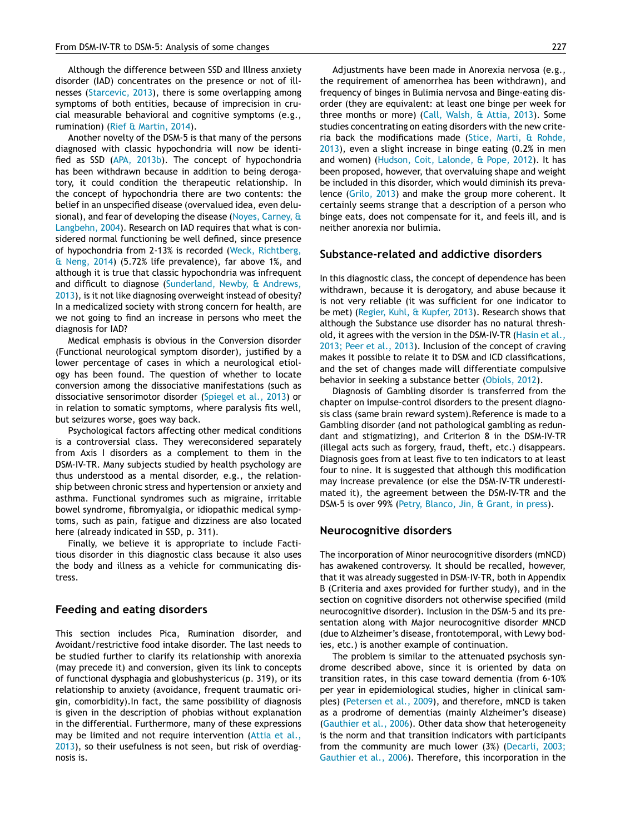Although the difference between SSD and Illness anxiety disorder (IAD) concentrates on the presence or not of illnesses ([Starcevic,](#page-10-0) [2013\),](#page-10-0) there is some overlapping among symptoms of both entities, because of imprecision in crucial measurable behavioral and cognitive symptoms (e.g., rumination) ([Rief](#page-10-0) [&](#page-10-0) [Martin,](#page-10-0) [2014\).](#page-10-0)

Another novelty of the DSM-5 is that many of the persons diagnosed with classic hypochondria will now be identified as SSD ([APA,](#page-8-0) [2013b\).](#page-8-0) The concept of hypochondria has been withdrawn because in addition to being derogatory, it could condition the therapeutic relationship. In the concept of hypochondria there are two contents: the belief in an unspecified disease (overvalued idea, even delusional), and fear of developing the disease ([Noyes,](#page-9-0) [Carney,](#page-9-0) [&](#page-9-0) [Langbehn,](#page-9-0) [2004\).](#page-9-0) Research on IAD requires that what is considered normal functioning be well defined, since presence of hypochondria from 2-13% is recorded [\(Weck,](#page-10-0) [Richtberg,](#page-10-0) [&](#page-10-0) [Neng,](#page-10-0) [2014\)](#page-10-0) (5.72% life prevalence), far above 1%, and although it is true that classic hypochondria was infrequent and difficult to diagnose [\(Sunderland,](#page-10-0) [Newby,](#page-10-0) [&](#page-10-0) [Andrews,](#page-10-0) [2013\),](#page-10-0) is it not like diagnosing overweight instead of obesity? In a medicalized society with strong concern for health, are we not going to find an increase in persons who meet the diagnosis for IAD?

Medical emphasis is obvious in the Conversion disorder (Functional neurological symptom disorder), justified by a lower percentage of cases in which a neurological etiology has been found. The question of whether to locate conversion among the dissociative manifestations (such as dissociative sensorimotor disorder [\(Spiegel](#page-10-0) et [al.,](#page-10-0) [2013\)](#page-10-0) or in relation to somatic symptoms, where paralysis fits well, but seizures worse, goes way back.

Psychological factors affecting other medical conditions is a controversial class. They wereconsidered separately from Axis I disorders as a complement to them in the DSM-IV-TR. Many subjects studied by health psychology are thus understood as a mental disorder, e.g., the relationship between chronic stress and hypertension or anxiety and asthma. Functional syndromes such as migraine, irritable bowel syndrome, fibromyalgia, or idiopathic medical symptoms, such as pain, fatigue and dizziness are also located here (already indicated in SSD, p. 311).

Finally, we believe it is appropriate to include Factitious disorder in this diagnostic class because it also uses the body and illness as a vehicle for communicating distress.

#### **Feeding and eating disorders**

This section includes Pica, Rumination disorder, and Avoidant/restrictive food intake disorder. The last needs to be studied further to clarify its relationship with anorexia (may precede it) and conversion, given its link to concepts of functional dysphagia and globushystericus (p. 319), or its relationship to anxiety (avoidance, frequent traumatic origin, comorbidity).In fact, the same possibility of diagnosis is given in the description of phobias without explanation in the differential. Furthermore, many of these expressions may be limited and not require intervention [\(Attia](#page-8-0) et [al.,](#page-8-0) [2013\),](#page-8-0) so their usefulness is not seen, but risk of overdiagnosis is.

Adjustments have been made in Anorexia nervosa (e.g., the requirement of amenorrhea has been withdrawn), and frequency of binges in Bulimia nervosa and Binge-eating disorder (they are equivalent: at least one binge per week for three months or more) ([Call,](#page-8-0) [Walsh,](#page-8-0) [&](#page-8-0) [Attia,](#page-8-0) [2013\).](#page-8-0) Some studies concentrating on eating disorders with the new criteria back the modifications made ([Stice,](#page-10-0) [Marti,](#page-10-0) [&](#page-10-0) [Rohde,](#page-10-0) [2013\),](#page-10-0) even a slight increase in binge eating (0.2% in men and women) ([Hudson,](#page-9-0) [Coit,](#page-9-0) [Lalonde,](#page-9-0) [&](#page-9-0) [Pope,](#page-9-0) [2012\).](#page-9-0) It has been proposed, however, that overvaluing shape and weight be included in this disorder, which would diminish its prevalence [\(Grilo,](#page-9-0) [2013\)](#page-9-0) and make the group more coherent. It certainly seems strange that a description of a person who binge eats, does not compensate for it, and feels ill, and is neither anorexia nor bulimia.

#### **Substance-related and addictive disorders**

In this diagnostic class, the concept of dependence has been withdrawn, because it is derogatory, and abuse because it is not very reliable (it was sufficient for one indicator to be met) ([Regier,](#page-10-0) [Kuhl,](#page-10-0) [&](#page-10-0) [Kupfer,](#page-10-0) [2013\).](#page-10-0) Research shows that although the Substance use disorder has no natural threshold, it agrees with the version in the DSM-IV-TR [\(Hasin](#page-9-0) et [al.,](#page-9-0) [2013;](#page-9-0) [Peer](#page-9-0) et [al.,](#page-9-0) [2013\).](#page-9-0) Inclusion of the concept of craving makes it possible to relate it to DSM and ICD classifications, and the set of changes made will differentiate compulsive behavior in seeking a substance better ([Obiols,](#page-9-0) [2012\).](#page-9-0)

Diagnosis of Gambling disorder is transferred from the chapter on impulse-control disorders to the present diagnosis class (same brain reward system).Reference is made to a Gambling disorder (and not pathological gambling as redundant and stigmatizing), and Criterion 8 in the DSM-IV-TR (illegal acts such as forgery, fraud, theft, etc.) disappears. Diagnosis goes from at least five to ten indicators to at least four to nine. It is suggested that although this modification may increase prevalence (or else the DSM-IV-TR underestimated it), the agreement between the DSM-IV-TR and the DSM-5 is over 99% [\(Petry,](#page-10-0) [Blanco,](#page-10-0) [Jin,](#page-10-0) [&](#page-10-0) [Grant,](#page-10-0) [in](#page-10-0) [press\).](#page-10-0)

#### **Neurocognitive disorders**

The incorporation of Minor neurocognitive disorders (mNCD) has awakened controversy. It should be recalled, however, that it was already suggested in DSM-IV-TR, both in Appendix B (Criteria and axes provided for further study), and in the section on cognitive disorders not otherwise specified (mild neurocognitive disorder). Inclusion in the DSM-5 and its presentation along with Major neurocognitive disorder MNCD (due to Alzheimer's disease, frontotemporal, with Lewy bodies, etc.) is another example of continuation.

The problem is similar to the attenuated psychosis syndrome described above, since it is oriented by data on transition rates, in this case toward dementia (from 6-10% per year in epidemiological studies, higher in clinical samples) [\(Petersen](#page-9-0) et [al.,](#page-9-0) [2009\),](#page-9-0) and therefore, mNCD is taken as a prodrome of dementias (mainly Alzheimer's disease) ([Gauthier](#page-9-0) et [al.,](#page-9-0) [2006\).](#page-9-0) Other data show that heterogeneity is the norm and that transition indicators with participants from the community are much lower (3%) [\(Decarli,](#page-8-0) [2003;](#page-8-0) [Gauthier](#page-8-0) et [al.,](#page-8-0) [2006\).](#page-8-0) Therefore, this incorporation in the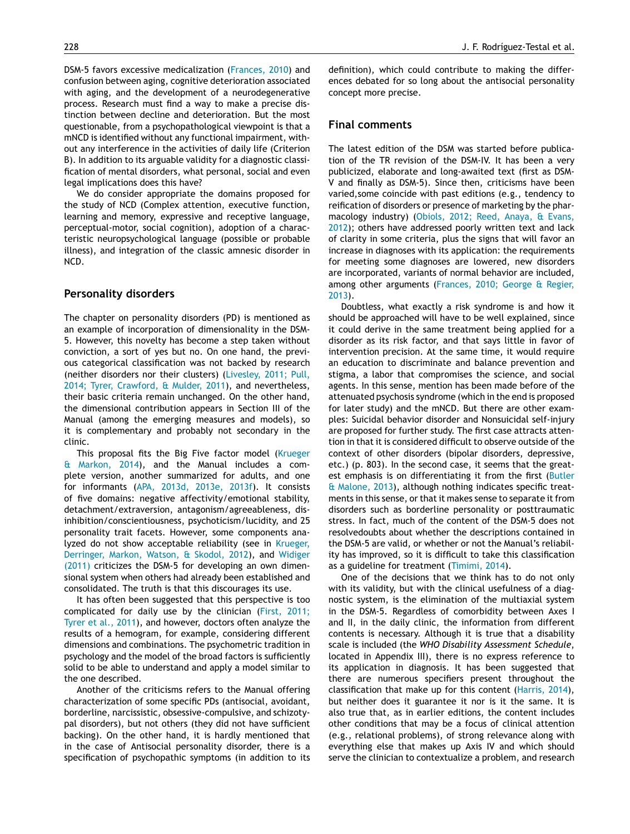DSM-5 favors excessive medicalization ([Frances,](#page-8-0) [2010\)](#page-8-0) and confusion between aging, cognitive deterioration associated with aging, and the development of a neurodegenerative process. Research must find a way to make a precise distinction between decline and deterioration. But the most questionable, from a psychopathological viewpoint is that a mNCD is identified without any functional impairment, without any interference in the activities of daily life (Criterion B). In addition to its arguable validity for a diagnostic classification of mental disorders, what personal, social and even legal implications does this have?

We do consider appropriate the domains proposed for the study of NCD (Complex attention, executive function, learning and memory, expressive and receptive language, perceptual-motor, social cognition), adoption of a characteristic neuropsychological language (possible or probable illness), and integration of the classic amnesic disorder in NCD.

#### **Personality disorders**

The chapter on personality disorders (PD) is mentioned as an example of incorporation of dimensionality in the DSM-5. However, this novelty has become a step taken without conviction, a sort of yes but no. On one hand, the previous categorical classification was not backed by research (neither disorders nor their clusters) [\(Livesley,](#page-9-0) [2011;](#page-9-0) [Pull,](#page-9-0) [2014;](#page-9-0) [Tyrer,](#page-9-0) [Crawford,](#page-9-0) [&](#page-9-0) [Mulder,](#page-9-0) [2011\),](#page-9-0) and nevertheless, their basic criteria remain unchanged. On the other hand, the dimensional contribution appears in Section III of the Manual (among the emerging measures and models), so it is complementary and probably not secondary in the clinic.

This proposal fits the Big Five factor model ([Krueger](#page-9-0) [&](#page-9-0) [Markon,](#page-9-0) [2014\),](#page-9-0) and the Manual includes a complete version, another summarized for adults, and one for informants [\(APA,](#page-8-0) [2013d,](#page-8-0) [2013e,](#page-8-0) [2013f\).](#page-8-0) It consists of five domains: negative affectivity/emotional stability, detachment/extraversion, antagonism/agreeableness, disinhibition/conscientiousness, psychoticism/lucidity, and 25 personality trait facets. However, some components analyzed do not show acceptable reliability (see in [Krueger,](#page-9-0) [Derringer,](#page-9-0) [Markon,](#page-9-0) [Watson,](#page-9-0) [&](#page-9-0) [Skodol,](#page-9-0) [2012\),](#page-9-0) and [Widiger](#page-10-0) [\(2011\)](#page-10-0) criticizes the DSM-5 for developing an own dimensional system when others had already been established and consolidated. The truth is that this discourages its use.

It has often been suggested that this perspective is too complicated for daily use by the clinician [\(First,](#page-8-0) [2011;](#page-8-0) [Tyrer](#page-8-0) et [al.,](#page-8-0) [2011\),](#page-8-0) and however, doctors often analyze the results of a hemogram, for example, considering different dimensions and combinations. The psychometric tradition in psychology and the model of the broad factors is sufficiently solid to be able to understand and apply a model similar to the one described.

Another of the criticisms refers to the Manual offering characterization of some specific PDs (antisocial, avoidant, borderline, narcissistic, obsessive-compulsive, and schizotypal disorders), but not others (they did not have sufficient backing). On the other hand, it is hardly mentioned that in the case of Antisocial personality disorder, there is a specification of psychopathic symptoms (in addition to its definition), which could contribute to making the differences debated for so long about the antisocial personality concept more precise.

#### **Final comments**

The latest edition of the DSM was started before publication of the TR revision of the DSM-IV. It has been a very publicized, elaborate and long-awaited text (first as DSM-V and finally as DSM-5). Since then, criticisms have been varied,some coincide with past editions (e.g., tendency to reification of disorders or presence of marketing by the pharmacology industry) [\(Obiols,](#page-9-0) [2012;](#page-9-0) [Reed,](#page-9-0) [Anaya,](#page-9-0) [&](#page-9-0) [Evans,](#page-9-0) [2012\);](#page-9-0) others have addressed poorly written text and lack of clarity in some criteria, plus the signs that will favor an increase in diagnoses with its application: the requirements for meeting some diagnoses are lowered, new disorders are incorporated, variants of normal behavior are included, among other arguments [\(Frances,](#page-8-0) [2010;](#page-8-0) [George](#page-8-0) [&](#page-8-0) [Regier,](#page-8-0) [2013\).](#page-8-0)

Doubtless, what exactly a risk syndrome is and how it should be approached will have to be well explained, since it could derive in the same treatment being applied for a disorder as its risk factor, and that says little in favor of intervention precision. At the same time, it would require an education to discriminate and balance prevention and stigma, a labor that compromises the science, and social agents. In this sense, mention has been made before of the attenuated psychosis syndrome (which in the end is proposed for later study) and the mNCD. But there are other examples: Suicidal behavior disorder and Nonsuicidal self-injury are proposed for further study. The first case attracts attention in that it is considered difficult to observe outside of the context of other disorders (bipolar disorders, depressive, etc.) (p. 803). In the second case, it seems that the greatest emphasis is on differentiating it from the first [\(Butler](#page-8-0) [&](#page-8-0) [Malone,](#page-8-0) [2013\),](#page-8-0) although nothing indicates specific treatments in this sense, or that it makes sense to separate it from disorders such as borderline personality or posttraumatic stress. In fact, much of the content of the DSM-5 does not resolvedoubts about whether the descriptions contained in the DSM-5 are valid, or whether or not the Manual's reliability has improved, so it is difficult to take this classification as a guideline for treatment [\(Timimi,](#page-10-0) [2014\).](#page-10-0)

One of the decisions that we think has to do not only with its validity, but with the clinical usefulness of a diagnostic system, is the elimination of the multiaxial system in the DSM-5. Regardless of comorbidity between Axes I and II, in the daily clinic, the information from different contents is necessary. Although it is true that a disability scale is included (the *WHO Disability Assessment Schedule*, located in Appendix III), there is no express reference to its application in diagnosis. It has been suggested that there are numerous specifiers present throughout the classification that make up for this content [\(Harris,](#page-9-0) [2014\),](#page-9-0) but neither does it guarantee it nor is it the same. It is also true that, as in earlier editions, the content includes other conditions that may be a focus of clinical attention (e.g., relational problems), of strong relevance along with everything else that makes up Axis IV and which should serve the clinician to contextualize a problem, and research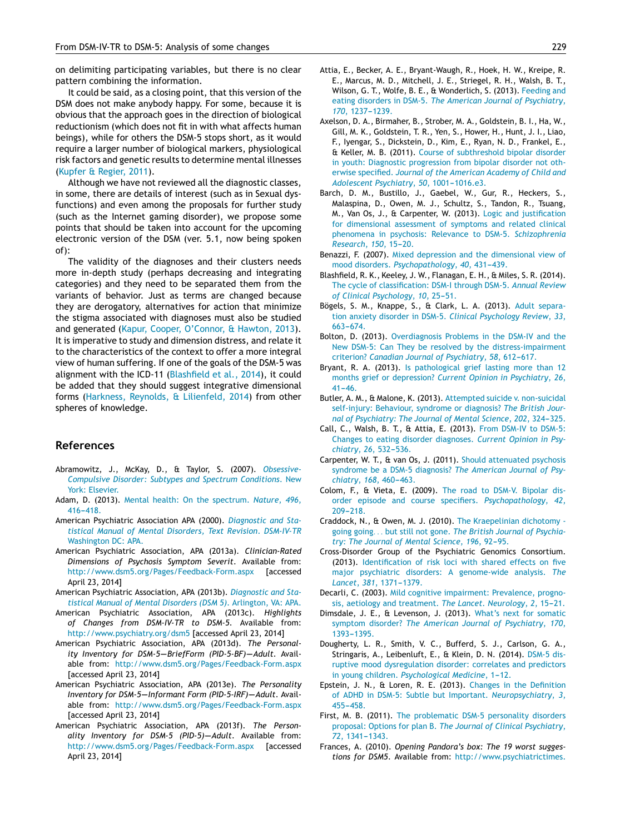<span id="page-8-0"></span>on delimiting participating variables, but there is no clear pattern combining the information.

It could be said, as a closing point, that this version of the DSM does not make anybody happy. For some, because it is obvious that the approach goes in the direction of biological reductionism (which does not fit in with what affects human beings), while for others the DSM-5 stops short, as it would require a larger number of biological markers, physiological risk factors and genetic results to determine mental illnesses ([Kupfer](#page-9-0) [&](#page-9-0) [Regier,](#page-9-0) [2011\).](#page-9-0)

Although we have not reviewed all the diagnostic classes, in some, there are details of interest (such as in Sexual dysfunctions) and even among the proposals for further study (such as the Internet gaming disorder), we propose some points that should be taken into account for the upcoming electronic version of the DSM (ver. 5.1, now being spoken of):

The validity of the diagnoses and their clusters needs more in-depth study (perhaps decreasing and integrating categories) and they need to be separated them from the variants of behavior. Just as terms are changed because they are derogatory, alternatives for action that minimize the stigma associated with diagnoses must also be studied and generated ([Kapur,](#page-9-0) [Cooper,](#page-9-0) [O'Connor,](#page-9-0) [&](#page-9-0) [Hawton,](#page-9-0) [2013\).](#page-9-0) It is imperative to study and dimension distress, and relate it to the characteristics of the context to offer a more integral view of human suffering. If one of the goals of the DSM-5 was alignment with the ICD-11 (Blashfield et al., 2014), it could be added that they should suggest integrative dimensional forms [\(Harkness,](#page-9-0) [Reynolds,](#page-9-0) [&](#page-9-0) [Lilienfeld,](#page-9-0) [2014\)](#page-9-0) from other spheres of knowledge.

# **References**

- Abramowitz, J., McKay, D., & Taylor, S. (2007). *[Obsessive-](http://refhub.elsevier.com/S1697-2600(14)00012-X/sbref0005)[Compulsive](http://refhub.elsevier.com/S1697-2600(14)00012-X/sbref0005) [Disorder:](http://refhub.elsevier.com/S1697-2600(14)00012-X/sbref0005) [Subtypes](http://refhub.elsevier.com/S1697-2600(14)00012-X/sbref0005) [and](http://refhub.elsevier.com/S1697-2600(14)00012-X/sbref0005) [Spectrum](http://refhub.elsevier.com/S1697-2600(14)00012-X/sbref0005) [Conditions](http://refhub.elsevier.com/S1697-2600(14)00012-X/sbref0005)*[.](http://refhub.elsevier.com/S1697-2600(14)00012-X/sbref0005) [New](http://refhub.elsevier.com/S1697-2600(14)00012-X/sbref0005) [York:](http://refhub.elsevier.com/S1697-2600(14)00012-X/sbref0005) [Elsevier.](http://refhub.elsevier.com/S1697-2600(14)00012-X/sbref0005)
- Adam, D. (2013). [Mental](http://refhub.elsevier.com/S1697-2600(14)00012-X/sbref0010) [health:](http://refhub.elsevier.com/S1697-2600(14)00012-X/sbref0010) [On](http://refhub.elsevier.com/S1697-2600(14)00012-X/sbref0010) [the](http://refhub.elsevier.com/S1697-2600(14)00012-X/sbref0010) [spectrum.](http://refhub.elsevier.com/S1697-2600(14)00012-X/sbref0010) *[Nature](http://refhub.elsevier.com/S1697-2600(14)00012-X/sbref0010)*[,](http://refhub.elsevier.com/S1697-2600(14)00012-X/sbref0010) *[496](http://refhub.elsevier.com/S1697-2600(14)00012-X/sbref0010)*[,](http://refhub.elsevier.com/S1697-2600(14)00012-X/sbref0010)  $416 - 418$
- American Psychiatric Association APA (2000). *[Diagnostic](http://refhub.elsevier.com/S1697-2600(14)00012-X/sbref0015) [and](http://refhub.elsevier.com/S1697-2600(14)00012-X/sbref0015) [Sta](http://refhub.elsevier.com/S1697-2600(14)00012-X/sbref0015)[tistical](http://refhub.elsevier.com/S1697-2600(14)00012-X/sbref0015) [Manual](http://refhub.elsevier.com/S1697-2600(14)00012-X/sbref0015) [of](http://refhub.elsevier.com/S1697-2600(14)00012-X/sbref0015) [Mental](http://refhub.elsevier.com/S1697-2600(14)00012-X/sbref0015) [Disorders,](http://refhub.elsevier.com/S1697-2600(14)00012-X/sbref0015) [Text](http://refhub.elsevier.com/S1697-2600(14)00012-X/sbref0015) [Revision](http://refhub.elsevier.com/S1697-2600(14)00012-X/sbref0015)*[.](http://refhub.elsevier.com/S1697-2600(14)00012-X/sbref0015) *[DSM-IV-TR](http://refhub.elsevier.com/S1697-2600(14)00012-X/sbref0015)* [Washington](http://refhub.elsevier.com/S1697-2600(14)00012-X/sbref0015) [DC:](http://refhub.elsevier.com/S1697-2600(14)00012-X/sbref0015) [APA.](http://refhub.elsevier.com/S1697-2600(14)00012-X/sbref0015)
- American Psychiatric Association, APA (2013a). *Clinician-Rated Dimensions of Psychosis Symptom Severit*. Available from: <http://www.dsm5.org/Pages/Feedback-Form.aspx> [accessed April 23, 2014]
- American Psychiatric Association, APA (2013b). *[Diagnostic](http://refhub.elsevier.com/S1697-2600(14)00012-X/sbref0025) [and](http://refhub.elsevier.com/S1697-2600(14)00012-X/sbref0025) [Sta](http://refhub.elsevier.com/S1697-2600(14)00012-X/sbref0025)[tistical](http://refhub.elsevier.com/S1697-2600(14)00012-X/sbref0025) [Manual](http://refhub.elsevier.com/S1697-2600(14)00012-X/sbref0025) [of](http://refhub.elsevier.com/S1697-2600(14)00012-X/sbref0025) [Mental](http://refhub.elsevier.com/S1697-2600(14)00012-X/sbref0025) [Disorders](http://refhub.elsevier.com/S1697-2600(14)00012-X/sbref0025) [\(DSM](http://refhub.elsevier.com/S1697-2600(14)00012-X/sbref0025) [5\)](http://refhub.elsevier.com/S1697-2600(14)00012-X/sbref0025)*[.](http://refhub.elsevier.com/S1697-2600(14)00012-X/sbref0025) [Arlington,](http://refhub.elsevier.com/S1697-2600(14)00012-X/sbref0025) [VA:](http://refhub.elsevier.com/S1697-2600(14)00012-X/sbref0025) [APA.](http://refhub.elsevier.com/S1697-2600(14)00012-X/sbref0025)
- American Psychiatric Association, APA (2013c). *Highlights of Changes from DSM-IV-TR to DSM-5*. Available from: <http://www.psychiatry.org/dsm5> [accessed April 23, 2014]
- American Psychiatric Association, APA (2013d). *The Personality Inventory for DSM-5-BriefForm (PID-5-BF)-Adult. Avail*able from: <http://www.dsm5.org/Pages/Feedback-Form.aspx> [accessed April 23, 2014]
- American Psychiatric Association, APA (2013e). *The Personality Inventory for DSM-5--Informant Form (PID-5-IRF)--Adult. Avail*able from: <http://www.dsm5.org/Pages/Feedback-Form.aspx> [accessed April 23, 2014]
- American Psychiatric Association, APA (2013f). *The Personality Inventory for DSM-5 (PID-5)-Adult*. Available from: <http://www.dsm5.org/Pages/Feedback-Form.aspx> [accessed April 23, 2014]
- Attia, E., Becker, A. E., Bryant-Waugh, R., Hoek, H. W., Kreipe, R. E., Marcus, M. D., Mitchell, J. E., Striegel, R. H., Walsh, B. T., Wilson, G. T., Wolfe, B. E., & Wonderlich, S. (2013). [Feeding](http://refhub.elsevier.com/S1697-2600(14)00012-X/sbref0050) [and](http://refhub.elsevier.com/S1697-2600(14)00012-X/sbref0050) [eating](http://refhub.elsevier.com/S1697-2600(14)00012-X/sbref0050) [disorders](http://refhub.elsevier.com/S1697-2600(14)00012-X/sbref0050) [in](http://refhub.elsevier.com/S1697-2600(14)00012-X/sbref0050) [DSM-5.](http://refhub.elsevier.com/S1697-2600(14)00012-X/sbref0050) *[The](http://refhub.elsevier.com/S1697-2600(14)00012-X/sbref0050) [American](http://refhub.elsevier.com/S1697-2600(14)00012-X/sbref0050) [Journal](http://refhub.elsevier.com/S1697-2600(14)00012-X/sbref0050) [of](http://refhub.elsevier.com/S1697-2600(14)00012-X/sbref0050) [Psychiatry](http://refhub.elsevier.com/S1697-2600(14)00012-X/sbref0050)*[,](http://refhub.elsevier.com/S1697-2600(14)00012-X/sbref0050) [170](http://refhub.elsevier.com/S1697-2600(14)00012-X/sbref0050)[,](http://refhub.elsevier.com/S1697-2600(14)00012-X/sbref0050) 1237-1239.
- Axelson, D. A., Birmaher, B., Strober, M. A., Goldstein, B. I., Ha, W., Gill, M. K., Goldstein, T. R., Yen, S., Hower, H., Hunt, J. I., Liao, F., Iyengar, S., Dickstein, D., Kim, E., Ryan, N. D., Frankel, E., & Keller, M. B. (2011). [Course](http://refhub.elsevier.com/S1697-2600(14)00012-X/sbref0055) [of](http://refhub.elsevier.com/S1697-2600(14)00012-X/sbref0055) [subthreshold](http://refhub.elsevier.com/S1697-2600(14)00012-X/sbref0055) [bipolar](http://refhub.elsevier.com/S1697-2600(14)00012-X/sbref0055) [disorder](http://refhub.elsevier.com/S1697-2600(14)00012-X/sbref0055) [in](http://refhub.elsevier.com/S1697-2600(14)00012-X/sbref0055) [youth:](http://refhub.elsevier.com/S1697-2600(14)00012-X/sbref0055) [Diagnostic](http://refhub.elsevier.com/S1697-2600(14)00012-X/sbref0055) [progression](http://refhub.elsevier.com/S1697-2600(14)00012-X/sbref0055) [from](http://refhub.elsevier.com/S1697-2600(14)00012-X/sbref0055) [bipolar](http://refhub.elsevier.com/S1697-2600(14)00012-X/sbref0055) [disorder](http://refhub.elsevier.com/S1697-2600(14)00012-X/sbref0055) [not](http://refhub.elsevier.com/S1697-2600(14)00012-X/sbref0055) [oth](http://refhub.elsevier.com/S1697-2600(14)00012-X/sbref0055)[erwise](http://refhub.elsevier.com/S1697-2600(14)00012-X/sbref0055) [specified.](http://refhub.elsevier.com/S1697-2600(14)00012-X/sbref0055) *[Journal](http://refhub.elsevier.com/S1697-2600(14)00012-X/sbref0055) [of](http://refhub.elsevier.com/S1697-2600(14)00012-X/sbref0055) [the](http://refhub.elsevier.com/S1697-2600(14)00012-X/sbref0055) [American](http://refhub.elsevier.com/S1697-2600(14)00012-X/sbref0055) [Academy](http://refhub.elsevier.com/S1697-2600(14)00012-X/sbref0055) [of](http://refhub.elsevier.com/S1697-2600(14)00012-X/sbref0055) [Child](http://refhub.elsevier.com/S1697-2600(14)00012-X/sbref0055) [and](http://refhub.elsevier.com/S1697-2600(14)00012-X/sbref0055) [Adolescent](http://refhub.elsevier.com/S1697-2600(14)00012-X/sbref0055) [Psychiatry](http://refhub.elsevier.com/S1697-2600(14)00012-X/sbref0055)*[,](http://refhub.elsevier.com/S1697-2600(14)00012-X/sbref0055) *[50](http://refhub.elsevier.com/S1697-2600(14)00012-X/sbref0055)*[,](http://refhub.elsevier.com/S1697-2600(14)00012-X/sbref0055) [1001---1016.e3.](http://refhub.elsevier.com/S1697-2600(14)00012-X/sbref0055)
- Barch, D. M., Bustillo, J., Gaebel, W., Gur, R., Heckers, S., Malaspina, D., Owen, M. J., Schultz, S., Tandon, R., Tsuang, M., Van Os, J., & Carpenter, W. (2013). [Logic](http://refhub.elsevier.com/S1697-2600(14)00012-X/sbref0060) [and](http://refhub.elsevier.com/S1697-2600(14)00012-X/sbref0060) [justification](http://refhub.elsevier.com/S1697-2600(14)00012-X/sbref0060) [for](http://refhub.elsevier.com/S1697-2600(14)00012-X/sbref0060) [dimensional](http://refhub.elsevier.com/S1697-2600(14)00012-X/sbref0060) [assessment](http://refhub.elsevier.com/S1697-2600(14)00012-X/sbref0060) [of](http://refhub.elsevier.com/S1697-2600(14)00012-X/sbref0060) [symptoms](http://refhub.elsevier.com/S1697-2600(14)00012-X/sbref0060) [and](http://refhub.elsevier.com/S1697-2600(14)00012-X/sbref0060) [related](http://refhub.elsevier.com/S1697-2600(14)00012-X/sbref0060) [clinical](http://refhub.elsevier.com/S1697-2600(14)00012-X/sbref0060) [phenomena](http://refhub.elsevier.com/S1697-2600(14)00012-X/sbref0060) [in](http://refhub.elsevier.com/S1697-2600(14)00012-X/sbref0060) [psychosis:](http://refhub.elsevier.com/S1697-2600(14)00012-X/sbref0060) [Relevance](http://refhub.elsevier.com/S1697-2600(14)00012-X/sbref0060) [to](http://refhub.elsevier.com/S1697-2600(14)00012-X/sbref0060) [DSM-5.](http://refhub.elsevier.com/S1697-2600(14)00012-X/sbref0060) *[Schizophrenia](http://refhub.elsevier.com/S1697-2600(14)00012-X/sbref0060) [Research](http://refhub.elsevier.com/S1697-2600(14)00012-X/sbref0060)*[,](http://refhub.elsevier.com/S1697-2600(14)00012-X/sbref0060) [150](http://refhub.elsevier.com/S1697-2600(14)00012-X/sbref0060), [15](http://refhub.elsevier.com/S1697-2600(14)00012-X/sbref0060)-[20.](http://refhub.elsevier.com/S1697-2600(14)00012-X/sbref0060)
- Benazzi, F. (2007). [Mixed](http://refhub.elsevier.com/S1697-2600(14)00012-X/sbref0065) [depression](http://refhub.elsevier.com/S1697-2600(14)00012-X/sbref0065) [and](http://refhub.elsevier.com/S1697-2600(14)00012-X/sbref0065) [the](http://refhub.elsevier.com/S1697-2600(14)00012-X/sbref0065) [dimensional](http://refhub.elsevier.com/S1697-2600(14)00012-X/sbref0065) [view](http://refhub.elsevier.com/S1697-2600(14)00012-X/sbref0065) [of](http://refhub.elsevier.com/S1697-2600(14)00012-X/sbref0065) [mood](http://refhub.elsevier.com/S1697-2600(14)00012-X/sbref0065) [disorders.](http://refhub.elsevier.com/S1697-2600(14)00012-X/sbref0065) *[Psychopathology](http://refhub.elsevier.com/S1697-2600(14)00012-X/sbref0065)*[,](http://refhub.elsevier.com/S1697-2600(14)00012-X/sbref0065) [40](http://refhub.elsevier.com/S1697-2600(14)00012-X/sbref0065), 431-439.
- Blashfield, R. K., Keeley, J. W., Flanagan, E. H., & Miles, S. R. (2014). [The](http://refhub.elsevier.com/S1697-2600(14)00012-X/sbref0070) [cycle](http://refhub.elsevier.com/S1697-2600(14)00012-X/sbref0070) [of](http://refhub.elsevier.com/S1697-2600(14)00012-X/sbref0070) [classification:](http://refhub.elsevier.com/S1697-2600(14)00012-X/sbref0070) [DSM-I](http://refhub.elsevier.com/S1697-2600(14)00012-X/sbref0070) [through](http://refhub.elsevier.com/S1697-2600(14)00012-X/sbref0070) [DSM-5.](http://refhub.elsevier.com/S1697-2600(14)00012-X/sbref0070) *[Annual](http://refhub.elsevier.com/S1697-2600(14)00012-X/sbref0070) [Review](http://refhub.elsevier.com/S1697-2600(14)00012-X/sbref0070)*  $of$  *[Clinical](http://refhub.elsevier.com/S1697-2600(14)00012-X/sbref0070) [Psychology](http://refhub.elsevier.com/S1697-2600(14)00012-X/sbref0070)*[,](http://refhub.elsevier.com/S1697-2600(14)00012-X/sbref0070) [10](http://refhub.elsevier.com/S1697-2600(14)00012-X/sbref0070), 25-51.
- Bögels, S. M., Knappe, S., & Clark, L. A. (2013). [Adult](http://refhub.elsevier.com/S1697-2600(14)00012-X/sbref0075) [separa](http://refhub.elsevier.com/S1697-2600(14)00012-X/sbref0075)[tion](http://refhub.elsevier.com/S1697-2600(14)00012-X/sbref0075) [anxiety](http://refhub.elsevier.com/S1697-2600(14)00012-X/sbref0075) [disorder](http://refhub.elsevier.com/S1697-2600(14)00012-X/sbref0075) [in](http://refhub.elsevier.com/S1697-2600(14)00012-X/sbref0075) [DSM-5.](http://refhub.elsevier.com/S1697-2600(14)00012-X/sbref0075) *[Clinical](http://refhub.elsevier.com/S1697-2600(14)00012-X/sbref0075) [Psychology](http://refhub.elsevier.com/S1697-2600(14)00012-X/sbref0075) [Review](http://refhub.elsevier.com/S1697-2600(14)00012-X/sbref0075)*[,](http://refhub.elsevier.com/S1697-2600(14)00012-X/sbref0075) *[33](http://refhub.elsevier.com/S1697-2600(14)00012-X/sbref0075)*[,](http://refhub.elsevier.com/S1697-2600(14)00012-X/sbref0075)  $663 - 674.$
- Bolton, D. (2013). [Overdiagnosis](http://refhub.elsevier.com/S1697-2600(14)00012-X/sbref0080) [Problems](http://refhub.elsevier.com/S1697-2600(14)00012-X/sbref0080) [in](http://refhub.elsevier.com/S1697-2600(14)00012-X/sbref0080) [the](http://refhub.elsevier.com/S1697-2600(14)00012-X/sbref0080) [DSM-IV](http://refhub.elsevier.com/S1697-2600(14)00012-X/sbref0080) [and](http://refhub.elsevier.com/S1697-2600(14)00012-X/sbref0080) [the](http://refhub.elsevier.com/S1697-2600(14)00012-X/sbref0080) [New](http://refhub.elsevier.com/S1697-2600(14)00012-X/sbref0080) [DSM-5:](http://refhub.elsevier.com/S1697-2600(14)00012-X/sbref0080) [Can](http://refhub.elsevier.com/S1697-2600(14)00012-X/sbref0080) [They](http://refhub.elsevier.com/S1697-2600(14)00012-X/sbref0080) [be](http://refhub.elsevier.com/S1697-2600(14)00012-X/sbref0080) [resolved](http://refhub.elsevier.com/S1697-2600(14)00012-X/sbref0080) [by](http://refhub.elsevier.com/S1697-2600(14)00012-X/sbref0080) [the](http://refhub.elsevier.com/S1697-2600(14)00012-X/sbref0080) [distress-impairment](http://refhub.elsevier.com/S1697-2600(14)00012-X/sbref0080) [criterion?](http://refhub.elsevier.com/S1697-2600(14)00012-X/sbref0080) *[Canadian](http://refhub.elsevier.com/S1697-2600(14)00012-X/sbref0080) [Journal](http://refhub.elsevier.com/S1697-2600(14)00012-X/sbref0080) [of](http://refhub.elsevier.com/S1697-2600(14)00012-X/sbref0080) [Psychiatry](http://refhub.elsevier.com/S1697-2600(14)00012-X/sbref0080)*[,](http://refhub.elsevier.com/S1697-2600(14)00012-X/sbref0080) [58](http://refhub.elsevier.com/S1697-2600(14)00012-X/sbref0080), 612-617.
- Bryant, R. A. (2013). [Is](http://refhub.elsevier.com/S1697-2600(14)00012-X/sbref0085) [pathological](http://refhub.elsevier.com/S1697-2600(14)00012-X/sbref0085) [grief](http://refhub.elsevier.com/S1697-2600(14)00012-X/sbref0085) [lasting](http://refhub.elsevier.com/S1697-2600(14)00012-X/sbref0085) [more](http://refhub.elsevier.com/S1697-2600(14)00012-X/sbref0085) [than](http://refhub.elsevier.com/S1697-2600(14)00012-X/sbref0085) [12](http://refhub.elsevier.com/S1697-2600(14)00012-X/sbref0085) [months](http://refhub.elsevier.com/S1697-2600(14)00012-X/sbref0085) [grief](http://refhub.elsevier.com/S1697-2600(14)00012-X/sbref0085) [or](http://refhub.elsevier.com/S1697-2600(14)00012-X/sbref0085) [depression?](http://refhub.elsevier.com/S1697-2600(14)00012-X/sbref0085) *[Current](http://refhub.elsevier.com/S1697-2600(14)00012-X/sbref0085) [Opinion](http://refhub.elsevier.com/S1697-2600(14)00012-X/sbref0085) [in](http://refhub.elsevier.com/S1697-2600(14)00012-X/sbref0085) [Psychiatry](http://refhub.elsevier.com/S1697-2600(14)00012-X/sbref0085)*[,](http://refhub.elsevier.com/S1697-2600(14)00012-X/sbref0085) *[26](http://refhub.elsevier.com/S1697-2600(14)00012-X/sbref0085)*[,](http://refhub.elsevier.com/S1697-2600(14)00012-X/sbref0085)  $41 - 46.$
- Butler, A. M., & Malone, K. (2013). [Attempted](http://refhub.elsevier.com/S1697-2600(14)00012-X/sbref0090) [suicide](http://refhub.elsevier.com/S1697-2600(14)00012-X/sbref0090) [v.](http://refhub.elsevier.com/S1697-2600(14)00012-X/sbref0090) [non-suicidal](http://refhub.elsevier.com/S1697-2600(14)00012-X/sbref0090) [self-injury:](http://refhub.elsevier.com/S1697-2600(14)00012-X/sbref0090) [Behaviour,](http://refhub.elsevier.com/S1697-2600(14)00012-X/sbref0090) [syndrome](http://refhub.elsevier.com/S1697-2600(14)00012-X/sbref0090) [or](http://refhub.elsevier.com/S1697-2600(14)00012-X/sbref0090) [diagnosis?](http://refhub.elsevier.com/S1697-2600(14)00012-X/sbref0090) *[The](http://refhub.elsevier.com/S1697-2600(14)00012-X/sbref0090) [British](http://refhub.elsevier.com/S1697-2600(14)00012-X/sbref0090) [Jour](http://refhub.elsevier.com/S1697-2600(14)00012-X/sbref0090)[nal](http://refhub.elsevier.com/S1697-2600(14)00012-X/sbref0090) [of](http://refhub.elsevier.com/S1697-2600(14)00012-X/sbref0090) [Psychiatry:](http://refhub.elsevier.com/S1697-2600(14)00012-X/sbref0090) [The](http://refhub.elsevier.com/S1697-2600(14)00012-X/sbref0090) [Journal](http://refhub.elsevier.com/S1697-2600(14)00012-X/sbref0090) of [Mental](http://refhub.elsevier.com/S1697-2600(14)00012-X/sbref0090) [Science](http://refhub.elsevier.com/S1697-2600(14)00012-X/sbref0090)[,](http://refhub.elsevier.com/S1697-2600(14)00012-X/sbref0090) [202](http://refhub.elsevier.com/S1697-2600(14)00012-X/sbref0090), 324-325.*
- Call, C., Walsh, B. T., & Attia, E. (2013). [From](http://refhub.elsevier.com/S1697-2600(14)00012-X/sbref0095) [DSM-IV](http://refhub.elsevier.com/S1697-2600(14)00012-X/sbref0095) [to](http://refhub.elsevier.com/S1697-2600(14)00012-X/sbref0095) [DSM-5:](http://refhub.elsevier.com/S1697-2600(14)00012-X/sbref0095) [Changes](http://refhub.elsevier.com/S1697-2600(14)00012-X/sbref0095) [to](http://refhub.elsevier.com/S1697-2600(14)00012-X/sbref0095) [eating](http://refhub.elsevier.com/S1697-2600(14)00012-X/sbref0095) [disorder](http://refhub.elsevier.com/S1697-2600(14)00012-X/sbref0095) [diagnoses.](http://refhub.elsevier.com/S1697-2600(14)00012-X/sbref0095) *[Current](http://refhub.elsevier.com/S1697-2600(14)00012-X/sbref0095) [Opinion](http://refhub.elsevier.com/S1697-2600(14)00012-X/sbref0095) [in](http://refhub.elsevier.com/S1697-2600(14)00012-X/sbref0095) [Psy](http://refhub.elsevier.com/S1697-2600(14)00012-X/sbref0095)[chiatry](http://refhub.elsevier.com/S1697-2600(14)00012-X/sbref0095)*[,](http://refhub.elsevier.com/S1697-2600(14)00012-X/sbref0095) [26](http://refhub.elsevier.com/S1697-2600(14)00012-X/sbref0095), 532-536.
- Carpenter, W. T., & van Os, J. (2011). [Should](http://refhub.elsevier.com/S1697-2600(14)00012-X/sbref0100) [attenuated](http://refhub.elsevier.com/S1697-2600(14)00012-X/sbref0100) [psychosis](http://refhub.elsevier.com/S1697-2600(14)00012-X/sbref0100) [syndrome](http://refhub.elsevier.com/S1697-2600(14)00012-X/sbref0100) [be](http://refhub.elsevier.com/S1697-2600(14)00012-X/sbref0100) [a](http://refhub.elsevier.com/S1697-2600(14)00012-X/sbref0100) [DSM-5](http://refhub.elsevier.com/S1697-2600(14)00012-X/sbref0100) [diagnosis?](http://refhub.elsevier.com/S1697-2600(14)00012-X/sbref0100) *[The](http://refhub.elsevier.com/S1697-2600(14)00012-X/sbref0100) [American](http://refhub.elsevier.com/S1697-2600(14)00012-X/sbref0100) [Journal](http://refhub.elsevier.com/S1697-2600(14)00012-X/sbref0100) [of](http://refhub.elsevier.com/S1697-2600(14)00012-X/sbref0100) [Psy](http://refhub.elsevier.com/S1697-2600(14)00012-X/sbref0100)[chiatry](http://refhub.elsevier.com/S1697-2600(14)00012-X/sbref0100)*[,](http://refhub.elsevier.com/S1697-2600(14)00012-X/sbref0100) [168](http://refhub.elsevier.com/S1697-2600(14)00012-X/sbref0100), [460](http://refhub.elsevier.com/S1697-2600(14)00012-X/sbref0100)[-463.](http://refhub.elsevier.com/S1697-2600(14)00012-X/sbref0100)
- Colom, F., & Vieta, E. (2009). [The](http://refhub.elsevier.com/S1697-2600(14)00012-X/sbref0105) [road](http://refhub.elsevier.com/S1697-2600(14)00012-X/sbref0105) [to](http://refhub.elsevier.com/S1697-2600(14)00012-X/sbref0105) [DSM-V.](http://refhub.elsevier.com/S1697-2600(14)00012-X/sbref0105) [Bipolar](http://refhub.elsevier.com/S1697-2600(14)00012-X/sbref0105) [dis](http://refhub.elsevier.com/S1697-2600(14)00012-X/sbref0105)[order](http://refhub.elsevier.com/S1697-2600(14)00012-X/sbref0105) [episode](http://refhub.elsevier.com/S1697-2600(14)00012-X/sbref0105) [and](http://refhub.elsevier.com/S1697-2600(14)00012-X/sbref0105) [course](http://refhub.elsevier.com/S1697-2600(14)00012-X/sbref0105) [specifiers.](http://refhub.elsevier.com/S1697-2600(14)00012-X/sbref0105) *[Psychopathology](http://refhub.elsevier.com/S1697-2600(14)00012-X/sbref0105)*[,](http://refhub.elsevier.com/S1697-2600(14)00012-X/sbref0105) *[42](http://refhub.elsevier.com/S1697-2600(14)00012-X/sbref0105)*[,](http://refhub.elsevier.com/S1697-2600(14)00012-X/sbref0105)  $209 - 218.$  $209 - 218.$
- Craddock, N., & Owen, M. J. (2010). [The](http://refhub.elsevier.com/S1697-2600(14)00012-X/sbref0110) [Kraepelinian](http://refhub.elsevier.com/S1697-2600(14)00012-X/sbref0110) [dichotomy](http://refhub.elsevier.com/S1697-2600(14)00012-X/sbref0110) [going](http://refhub.elsevier.com/S1697-2600(14)00012-X/sbref0110) [going](http://refhub.elsevier.com/S1697-2600(14)00012-X/sbref0110)[.](http://refhub.elsevier.com/S1697-2600(14)00012-X/sbref0110) [.](http://refhub.elsevier.com/S1697-2600(14)00012-X/sbref0110) [.](http://refhub.elsevier.com/S1697-2600(14)00012-X/sbref0110) [but](http://refhub.elsevier.com/S1697-2600(14)00012-X/sbref0110) [still](http://refhub.elsevier.com/S1697-2600(14)00012-X/sbref0110) [not](http://refhub.elsevier.com/S1697-2600(14)00012-X/sbref0110) [gone.](http://refhub.elsevier.com/S1697-2600(14)00012-X/sbref0110) *[The](http://refhub.elsevier.com/S1697-2600(14)00012-X/sbref0110) [British](http://refhub.elsevier.com/S1697-2600(14)00012-X/sbref0110) [Journal](http://refhub.elsevier.com/S1697-2600(14)00012-X/sbref0110) [of](http://refhub.elsevier.com/S1697-2600(14)00012-X/sbref0110) [Psychia](http://refhub.elsevier.com/S1697-2600(14)00012-X/sbref0110)[try:](http://refhub.elsevier.com/S1697-2600(14)00012-X/sbref0110) [The](http://refhub.elsevier.com/S1697-2600(14)00012-X/sbref0110) [Journal](http://refhub.elsevier.com/S1697-2600(14)00012-X/sbref0110) [of](http://refhub.elsevier.com/S1697-2600(14)00012-X/sbref0110) [Mental](http://refhub.elsevier.com/S1697-2600(14)00012-X/sbref0110) [Science](http://refhub.elsevier.com/S1697-2600(14)00012-X/sbref0110)[,](http://refhub.elsevier.com/S1697-2600(14)00012-X/sbref0110) [196](http://refhub.elsevier.com/S1697-2600(14)00012-X/sbref0110), 92-95.*
- Cross-Disorder Group of the Psychiatric Genomics Consortium. (2013). [Identification](http://refhub.elsevier.com/S1697-2600(14)00012-X/sbref0115) [of](http://refhub.elsevier.com/S1697-2600(14)00012-X/sbref0115) [risk](http://refhub.elsevier.com/S1697-2600(14)00012-X/sbref0115) [loci](http://refhub.elsevier.com/S1697-2600(14)00012-X/sbref0115) [with](http://refhub.elsevier.com/S1697-2600(14)00012-X/sbref0115) [shared](http://refhub.elsevier.com/S1697-2600(14)00012-X/sbref0115) [effects](http://refhub.elsevier.com/S1697-2600(14)00012-X/sbref0115) [on](http://refhub.elsevier.com/S1697-2600(14)00012-X/sbref0115) [five](http://refhub.elsevier.com/S1697-2600(14)00012-X/sbref0115) [major](http://refhub.elsevier.com/S1697-2600(14)00012-X/sbref0115) [psychiatric](http://refhub.elsevier.com/S1697-2600(14)00012-X/sbref0115) [disorders:](http://refhub.elsevier.com/S1697-2600(14)00012-X/sbref0115) [A](http://refhub.elsevier.com/S1697-2600(14)00012-X/sbref0115) [genome-wide](http://refhub.elsevier.com/S1697-2600(14)00012-X/sbref0115) [analysis.](http://refhub.elsevier.com/S1697-2600(14)00012-X/sbref0115) *[The](http://refhub.elsevier.com/S1697-2600(14)00012-X/sbref0115)* [Lancet](http://refhub.elsevier.com/S1697-2600(14)00012-X/sbref0115)[,](http://refhub.elsevier.com/S1697-2600(14)00012-X/sbref0115) [381](http://refhub.elsevier.com/S1697-2600(14)00012-X/sbref0115), 1371-1379.
- Decarli, C. (2003). [Mild](http://refhub.elsevier.com/S1697-2600(14)00012-X/sbref0120) [cognitive](http://refhub.elsevier.com/S1697-2600(14)00012-X/sbref0120) [impairment:](http://refhub.elsevier.com/S1697-2600(14)00012-X/sbref0120) [Prevalence,](http://refhub.elsevier.com/S1697-2600(14)00012-X/sbref0120) [progno](http://refhub.elsevier.com/S1697-2600(14)00012-X/sbref0120)[sis,](http://refhub.elsevier.com/S1697-2600(14)00012-X/sbref0120) [aetiology](http://refhub.elsevier.com/S1697-2600(14)00012-X/sbref0120) [and](http://refhub.elsevier.com/S1697-2600(14)00012-X/sbref0120) [treatment.](http://refhub.elsevier.com/S1697-2600(14)00012-X/sbref0120) [The](http://refhub.elsevier.com/S1697-2600(14)00012-X/sbref0120) [Lancet.](http://refhub.elsevier.com/S1697-2600(14)00012-X/sbref0120) [Neurology](http://refhub.elsevier.com/S1697-2600(14)00012-X/sbref0120)[,](http://refhub.elsevier.com/S1697-2600(14)00012-X/sbref0120) [2](http://refhub.elsevier.com/S1697-2600(14)00012-X/sbref0120), 15-21.
- Dimsdale, J. E., & Levenson, J. (2013). [What's](http://refhub.elsevier.com/S1697-2600(14)00012-X/sbref0125) [next](http://refhub.elsevier.com/S1697-2600(14)00012-X/sbref0125) [for](http://refhub.elsevier.com/S1697-2600(14)00012-X/sbref0125) [somatic](http://refhub.elsevier.com/S1697-2600(14)00012-X/sbref0125) [symptom](http://refhub.elsevier.com/S1697-2600(14)00012-X/sbref0125) [disorder?](http://refhub.elsevier.com/S1697-2600(14)00012-X/sbref0125) *[The](http://refhub.elsevier.com/S1697-2600(14)00012-X/sbref0125) [American](http://refhub.elsevier.com/S1697-2600(14)00012-X/sbref0125) [Journal](http://refhub.elsevier.com/S1697-2600(14)00012-X/sbref0125) [of](http://refhub.elsevier.com/S1697-2600(14)00012-X/sbref0125) [Psychiatry](http://refhub.elsevier.com/S1697-2600(14)00012-X/sbref0125)*[,](http://refhub.elsevier.com/S1697-2600(14)00012-X/sbref0125) *[170](http://refhub.elsevier.com/S1697-2600(14)00012-X/sbref0125)*[,](http://refhub.elsevier.com/S1697-2600(14)00012-X/sbref0125) 1393-1395.
- Dougherty, L. R., Smith, V. C., Bufferd, S. J., Carlson, G. A., Stringaris, A., Leibenluft, E., & Klein, D. N. (2014). [DSM-5](http://refhub.elsevier.com/S1697-2600(14)00012-X/sbref0130) [dis](http://refhub.elsevier.com/S1697-2600(14)00012-X/sbref0130)[ruptive](http://refhub.elsevier.com/S1697-2600(14)00012-X/sbref0130) [mood](http://refhub.elsevier.com/S1697-2600(14)00012-X/sbref0130) [dysregulation](http://refhub.elsevier.com/S1697-2600(14)00012-X/sbref0130) [disorder:](http://refhub.elsevier.com/S1697-2600(14)00012-X/sbref0130) [correlates](http://refhub.elsevier.com/S1697-2600(14)00012-X/sbref0130) [and](http://refhub.elsevier.com/S1697-2600(14)00012-X/sbref0130) [predictors](http://refhub.elsevier.com/S1697-2600(14)00012-X/sbref0130) [in](http://refhub.elsevier.com/S1697-2600(14)00012-X/sbref0130) [young](http://refhub.elsevier.com/S1697-2600(14)00012-X/sbref0130) [children.](http://refhub.elsevier.com/S1697-2600(14)00012-X/sbref0130) [Psychological](http://refhub.elsevier.com/S1697-2600(14)00012-X/sbref0130) [Medicine](http://refhub.elsevier.com/S1697-2600(14)00012-X/sbref0130)[,](http://refhub.elsevier.com/S1697-2600(14)00012-X/sbref0130) 1-12.
- Epstein, J. N., & Loren, R. E. (2013). [Changes](http://refhub.elsevier.com/S1697-2600(14)00012-X/sbref0135) [in](http://refhub.elsevier.com/S1697-2600(14)00012-X/sbref0135) [the](http://refhub.elsevier.com/S1697-2600(14)00012-X/sbref0135) [Definition](http://refhub.elsevier.com/S1697-2600(14)00012-X/sbref0135) [of](http://refhub.elsevier.com/S1697-2600(14)00012-X/sbref0135) [ADHD](http://refhub.elsevier.com/S1697-2600(14)00012-X/sbref0135) [in](http://refhub.elsevier.com/S1697-2600(14)00012-X/sbref0135) [DSM-5:](http://refhub.elsevier.com/S1697-2600(14)00012-X/sbref0135) [Subtle](http://refhub.elsevier.com/S1697-2600(14)00012-X/sbref0135) [but](http://refhub.elsevier.com/S1697-2600(14)00012-X/sbref0135) [Important.](http://refhub.elsevier.com/S1697-2600(14)00012-X/sbref0135) *[Neuropsychiatry](http://refhub.elsevier.com/S1697-2600(14)00012-X/sbref0135)*[,](http://refhub.elsevier.com/S1697-2600(14)00012-X/sbref0135) *[3](http://refhub.elsevier.com/S1697-2600(14)00012-X/sbref0135)*[,](http://refhub.elsevier.com/S1697-2600(14)00012-X/sbref0135) 455-458.
- First, M. B. (2011). [The](http://refhub.elsevier.com/S1697-2600(14)00012-X/sbref0140) [problematic](http://refhub.elsevier.com/S1697-2600(14)00012-X/sbref0140) [DSM-5](http://refhub.elsevier.com/S1697-2600(14)00012-X/sbref0140) [personality](http://refhub.elsevier.com/S1697-2600(14)00012-X/sbref0140) [disorders](http://refhub.elsevier.com/S1697-2600(14)00012-X/sbref0140) [proposal:](http://refhub.elsevier.com/S1697-2600(14)00012-X/sbref0140) [Options](http://refhub.elsevier.com/S1697-2600(14)00012-X/sbref0140) [for](http://refhub.elsevier.com/S1697-2600(14)00012-X/sbref0140) [plan](http://refhub.elsevier.com/S1697-2600(14)00012-X/sbref0140) [B.](http://refhub.elsevier.com/S1697-2600(14)00012-X/sbref0140) *[The](http://refhub.elsevier.com/S1697-2600(14)00012-X/sbref0140) [Journal](http://refhub.elsevier.com/S1697-2600(14)00012-X/sbref0140) [of](http://refhub.elsevier.com/S1697-2600(14)00012-X/sbref0140) [Clinical](http://refhub.elsevier.com/S1697-2600(14)00012-X/sbref0140) [Psychiatry](http://refhub.elsevier.com/S1697-2600(14)00012-X/sbref0140)*[,](http://refhub.elsevier.com/S1697-2600(14)00012-X/sbref0140) [72](http://refhub.elsevier.com/S1697-2600(14)00012-X/sbref0140)[,](http://refhub.elsevier.com/S1697-2600(14)00012-X/sbref0140) [1341](http://refhub.elsevier.com/S1697-2600(14)00012-X/sbref0140)-[1343.](http://refhub.elsevier.com/S1697-2600(14)00012-X/sbref0140)
- Frances, A. (2010). *Opening Pandora's box: The 19 worst suggestions for DSM5*. Available from: [http://www.psychiatrictimes.](http://www.psychiatrictimes.com/dsm-v/content/article/10168/1522341)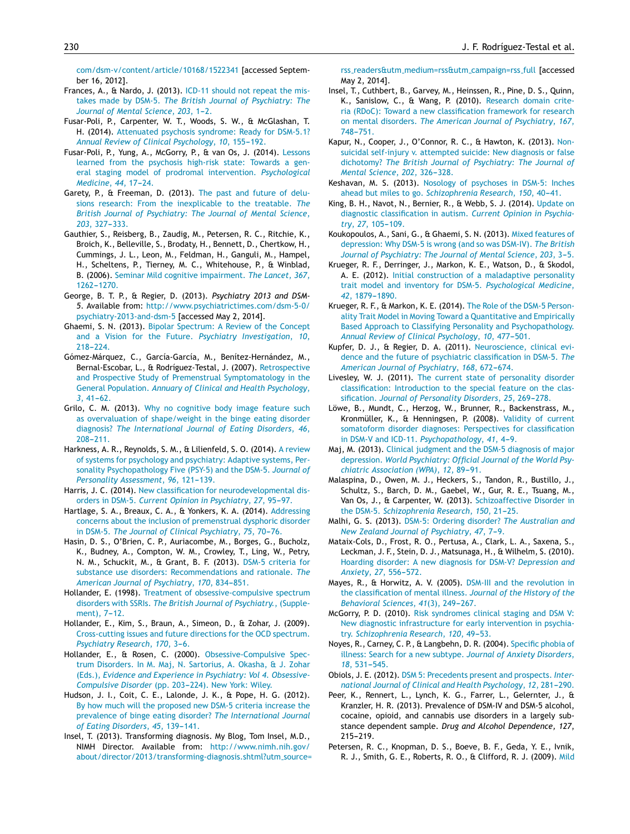<span id="page-9-0"></span>[com/dsm-v/content/article/10168/1522341](http://www.psychiatrictimes.com/dsm-v/content/article/10168/1522341) [accessed September 16, 2012].

- Frances, A., & Nardo, J. (2013). [ICD-11](http://refhub.elsevier.com/S1697-2600(14)00012-X/sbref0150) [should](http://refhub.elsevier.com/S1697-2600(14)00012-X/sbref0150) [not](http://refhub.elsevier.com/S1697-2600(14)00012-X/sbref0150) [repeat](http://refhub.elsevier.com/S1697-2600(14)00012-X/sbref0150) [the](http://refhub.elsevier.com/S1697-2600(14)00012-X/sbref0150) [mis](http://refhub.elsevier.com/S1697-2600(14)00012-X/sbref0150)[takes](http://refhub.elsevier.com/S1697-2600(14)00012-X/sbref0150) [made](http://refhub.elsevier.com/S1697-2600(14)00012-X/sbref0150) [by](http://refhub.elsevier.com/S1697-2600(14)00012-X/sbref0150) [DSM-5.](http://refhub.elsevier.com/S1697-2600(14)00012-X/sbref0150) *[The](http://refhub.elsevier.com/S1697-2600(14)00012-X/sbref0150) [British](http://refhub.elsevier.com/S1697-2600(14)00012-X/sbref0150) [Journal](http://refhub.elsevier.com/S1697-2600(14)00012-X/sbref0150) [of](http://refhub.elsevier.com/S1697-2600(14)00012-X/sbref0150) [Psychiatry:](http://refhub.elsevier.com/S1697-2600(14)00012-X/sbref0150) [The](http://refhub.elsevier.com/S1697-2600(14)00012-X/sbref0150) [Journal](http://refhub.elsevier.com/S1697-2600(14)00012-X/sbref0150) [of](http://refhub.elsevier.com/S1697-2600(14)00012-X/sbref0150) [Mental](http://refhub.elsevier.com/S1697-2600(14)00012-X/sbref0150) [Science](http://refhub.elsevier.com/S1697-2600(14)00012-X/sbref0150)*[,](http://refhub.elsevier.com/S1697-2600(14)00012-X/sbref0150) *[203](http://refhub.elsevier.com/S1697-2600(14)00012-X/sbref0150)*[,](http://refhub.elsevier.com/S1697-2600(14)00012-X/sbref0150) [1---2.](http://refhub.elsevier.com/S1697-2600(14)00012-X/sbref0150)
- Fusar-Poli, P., Carpenter, W. T., Woods, S. W., & McGlashan, T. H. (2014). [Attenuated](http://refhub.elsevier.com/S1697-2600(14)00012-X/sbref0155) [psychosis](http://refhub.elsevier.com/S1697-2600(14)00012-X/sbref0155) [syndrome:](http://refhub.elsevier.com/S1697-2600(14)00012-X/sbref0155) [Ready](http://refhub.elsevier.com/S1697-2600(14)00012-X/sbref0155) [for](http://refhub.elsevier.com/S1697-2600(14)00012-X/sbref0155) [DSM-5.1?](http://refhub.elsevier.com/S1697-2600(14)00012-X/sbref0155) *[Annual](http://refhub.elsevier.com/S1697-2600(14)00012-X/sbref0155) [Review](http://refhub.elsevier.com/S1697-2600(14)00012-X/sbref0155) [of](http://refhub.elsevier.com/S1697-2600(14)00012-X/sbref0155) [Clinical](http://refhub.elsevier.com/S1697-2600(14)00012-X/sbref0155) [Psychology](http://refhub.elsevier.com/S1697-2600(14)00012-X/sbref0155)*[,](http://refhub.elsevier.com/S1697-2600(14)00012-X/sbref0155) *[10](http://refhub.elsevier.com/S1697-2600(14)00012-X/sbref0155)*[,](http://refhub.elsevier.com/S1697-2600(14)00012-X/sbref0155) [155---192.](http://refhub.elsevier.com/S1697-2600(14)00012-X/sbref0155)
- Fusar-Poli, P., Yung, A., McGorry, P., & van Os, J. (2014). [Lessons](http://refhub.elsevier.com/S1697-2600(14)00012-X/sbref0160) [learned](http://refhub.elsevier.com/S1697-2600(14)00012-X/sbref0160) [from](http://refhub.elsevier.com/S1697-2600(14)00012-X/sbref0160) [the](http://refhub.elsevier.com/S1697-2600(14)00012-X/sbref0160) [psychosis](http://refhub.elsevier.com/S1697-2600(14)00012-X/sbref0160) [high-risk](http://refhub.elsevier.com/S1697-2600(14)00012-X/sbref0160) [state:](http://refhub.elsevier.com/S1697-2600(14)00012-X/sbref0160) [Towards](http://refhub.elsevier.com/S1697-2600(14)00012-X/sbref0160) [a](http://refhub.elsevier.com/S1697-2600(14)00012-X/sbref0160) [gen](http://refhub.elsevier.com/S1697-2600(14)00012-X/sbref0160)[eral](http://refhub.elsevier.com/S1697-2600(14)00012-X/sbref0160) [staging](http://refhub.elsevier.com/S1697-2600(14)00012-X/sbref0160) [model](http://refhub.elsevier.com/S1697-2600(14)00012-X/sbref0160) [of](http://refhub.elsevier.com/S1697-2600(14)00012-X/sbref0160) [prodromal](http://refhub.elsevier.com/S1697-2600(14)00012-X/sbref0160) [intervention.](http://refhub.elsevier.com/S1697-2600(14)00012-X/sbref0160) *[Psychological](http://refhub.elsevier.com/S1697-2600(14)00012-X/sbref0160) [Medicine](http://refhub.elsevier.com/S1697-2600(14)00012-X/sbref0160)*[,](http://refhub.elsevier.com/S1697-2600(14)00012-X/sbref0160) [44](http://refhub.elsevier.com/S1697-2600(14)00012-X/sbref0160), 17-24.
- Garety, P., & Freeman, D. (2013). [The](http://refhub.elsevier.com/S1697-2600(14)00012-X/sbref0165) [past](http://refhub.elsevier.com/S1697-2600(14)00012-X/sbref0165) [and](http://refhub.elsevier.com/S1697-2600(14)00012-X/sbref0165) [future](http://refhub.elsevier.com/S1697-2600(14)00012-X/sbref0165) [of](http://refhub.elsevier.com/S1697-2600(14)00012-X/sbref0165) [delu](http://refhub.elsevier.com/S1697-2600(14)00012-X/sbref0165)[sions](http://refhub.elsevier.com/S1697-2600(14)00012-X/sbref0165) [research:](http://refhub.elsevier.com/S1697-2600(14)00012-X/sbref0165) [From](http://refhub.elsevier.com/S1697-2600(14)00012-X/sbref0165) [the](http://refhub.elsevier.com/S1697-2600(14)00012-X/sbref0165) [inexplicable](http://refhub.elsevier.com/S1697-2600(14)00012-X/sbref0165) [to](http://refhub.elsevier.com/S1697-2600(14)00012-X/sbref0165) [the](http://refhub.elsevier.com/S1697-2600(14)00012-X/sbref0165) [treatable.](http://refhub.elsevier.com/S1697-2600(14)00012-X/sbref0165) *[The](http://refhub.elsevier.com/S1697-2600(14)00012-X/sbref0165) [British](http://refhub.elsevier.com/S1697-2600(14)00012-X/sbref0165) [Journal](http://refhub.elsevier.com/S1697-2600(14)00012-X/sbref0165) [of](http://refhub.elsevier.com/S1697-2600(14)00012-X/sbref0165) [Psychiatry:](http://refhub.elsevier.com/S1697-2600(14)00012-X/sbref0165) [The](http://refhub.elsevier.com/S1697-2600(14)00012-X/sbref0165) [Journal](http://refhub.elsevier.com/S1697-2600(14)00012-X/sbref0165) [of](http://refhub.elsevier.com/S1697-2600(14)00012-X/sbref0165) [Mental](http://refhub.elsevier.com/S1697-2600(14)00012-X/sbref0165) [Science](http://refhub.elsevier.com/S1697-2600(14)00012-X/sbref0165)*[,](http://refhub.elsevier.com/S1697-2600(14)00012-X/sbref0165) [203](http://refhub.elsevier.com/S1697-2600(14)00012-X/sbref0165)[,](http://refhub.elsevier.com/S1697-2600(14)00012-X/sbref0165) [327](http://refhub.elsevier.com/S1697-2600(14)00012-X/sbref0165)[-333.](http://refhub.elsevier.com/S1697-2600(14)00012-X/sbref0165)
- Gauthier, S., Reisberg, B., Zaudig, M., Petersen, R. C., Ritchie, K., Broich, K., Belleville, S., Brodaty, H., Bennett, D., Chertkow, H., Cummings, J. L., Leon, M., Feldman, H., Ganguli, M., Hampel, H., Scheltens, P., Tierney, M. C., Whitehouse, P., & Winblad, B. (2006). [Seminar](http://refhub.elsevier.com/S1697-2600(14)00012-X/sbref0170) [Mild](http://refhub.elsevier.com/S1697-2600(14)00012-X/sbref0170) [cognitive](http://refhub.elsevier.com/S1697-2600(14)00012-X/sbref0170) [impairment.](http://refhub.elsevier.com/S1697-2600(14)00012-X/sbref0170) *[The](http://refhub.elsevier.com/S1697-2600(14)00012-X/sbref0170) [Lancet](http://refhub.elsevier.com/S1697-2600(14)00012-X/sbref0170)*[,](http://refhub.elsevier.com/S1697-2600(14)00012-X/sbref0170) *[367](http://refhub.elsevier.com/S1697-2600(14)00012-X/sbref0170)*[,](http://refhub.elsevier.com/S1697-2600(14)00012-X/sbref0170) 1262-1270.
- George, B. T. P., & Regier, D. (2013). *Psychiatry 2013 and DSM-5*. Available from: [http://www.psychiatrictimes.com/dsm-5-0/](http://www.psychiatrictimes.com/dsm-5-0/psychiatry-2013-and-dsm-5) [psychiatry-2013-and-dsm-5](http://www.psychiatrictimes.com/dsm-5-0/psychiatry-2013-and-dsm-5) [accessed May 2, 2014].
- Ghaemi, S. N. (2013). [Bipolar](http://refhub.elsevier.com/S1697-2600(14)00012-X/sbref0180) [Spectrum:](http://refhub.elsevier.com/S1697-2600(14)00012-X/sbref0180) [A](http://refhub.elsevier.com/S1697-2600(14)00012-X/sbref0180) [Review](http://refhub.elsevier.com/S1697-2600(14)00012-X/sbref0180) [of](http://refhub.elsevier.com/S1697-2600(14)00012-X/sbref0180) [the](http://refhub.elsevier.com/S1697-2600(14)00012-X/sbref0180) [Concept](http://refhub.elsevier.com/S1697-2600(14)00012-X/sbref0180) [and](http://refhub.elsevier.com/S1697-2600(14)00012-X/sbref0180) [a](http://refhub.elsevier.com/S1697-2600(14)00012-X/sbref0180) [Vision](http://refhub.elsevier.com/S1697-2600(14)00012-X/sbref0180) [for](http://refhub.elsevier.com/S1697-2600(14)00012-X/sbref0180) [the](http://refhub.elsevier.com/S1697-2600(14)00012-X/sbref0180) [Future.](http://refhub.elsevier.com/S1697-2600(14)00012-X/sbref0180) *[Psychiatry](http://refhub.elsevier.com/S1697-2600(14)00012-X/sbref0180) [Investigation](http://refhub.elsevier.com/S1697-2600(14)00012-X/sbref0180)*[,](http://refhub.elsevier.com/S1697-2600(14)00012-X/sbref0180) *[10](http://refhub.elsevier.com/S1697-2600(14)00012-X/sbref0180)*[,](http://refhub.elsevier.com/S1697-2600(14)00012-X/sbref0180)  $218 - 224$ .
- Gómez-Márquez, C., García-García, M., Benítez-Hernández, M., Bernal-Escobar, L., & Rodríguez-Testal, J. (2007). [Retrospective](http://refhub.elsevier.com/S1697-2600(14)00012-X/sbref0185) [and](http://refhub.elsevier.com/S1697-2600(14)00012-X/sbref0185) [Prospective](http://refhub.elsevier.com/S1697-2600(14)00012-X/sbref0185) [Study](http://refhub.elsevier.com/S1697-2600(14)00012-X/sbref0185) [of](http://refhub.elsevier.com/S1697-2600(14)00012-X/sbref0185) [Premenstrual](http://refhub.elsevier.com/S1697-2600(14)00012-X/sbref0185) [Symptomatology](http://refhub.elsevier.com/S1697-2600(14)00012-X/sbref0185) [in](http://refhub.elsevier.com/S1697-2600(14)00012-X/sbref0185) [the](http://refhub.elsevier.com/S1697-2600(14)00012-X/sbref0185) [General](http://refhub.elsevier.com/S1697-2600(14)00012-X/sbref0185) [Population.](http://refhub.elsevier.com/S1697-2600(14)00012-X/sbref0185) *[Annuary](http://refhub.elsevier.com/S1697-2600(14)00012-X/sbref0185) [of](http://refhub.elsevier.com/S1697-2600(14)00012-X/sbref0185) [Clinical](http://refhub.elsevier.com/S1697-2600(14)00012-X/sbref0185) [and](http://refhub.elsevier.com/S1697-2600(14)00012-X/sbref0185) [Health](http://refhub.elsevier.com/S1697-2600(14)00012-X/sbref0185) [Psychology](http://refhub.elsevier.com/S1697-2600(14)00012-X/sbref0185)*[,](http://refhub.elsevier.com/S1697-2600(14)00012-X/sbref0185)  $3, 41-62.$  $3, 41-62.$  $3, 41-62.$
- Grilo, C. M. (2013). [Why](http://refhub.elsevier.com/S1697-2600(14)00012-X/sbref0190) [no](http://refhub.elsevier.com/S1697-2600(14)00012-X/sbref0190) [cognitive](http://refhub.elsevier.com/S1697-2600(14)00012-X/sbref0190) [body](http://refhub.elsevier.com/S1697-2600(14)00012-X/sbref0190) [image](http://refhub.elsevier.com/S1697-2600(14)00012-X/sbref0190) [feature](http://refhub.elsevier.com/S1697-2600(14)00012-X/sbref0190) [such](http://refhub.elsevier.com/S1697-2600(14)00012-X/sbref0190) [as](http://refhub.elsevier.com/S1697-2600(14)00012-X/sbref0190) [overvaluation](http://refhub.elsevier.com/S1697-2600(14)00012-X/sbref0190) [of](http://refhub.elsevier.com/S1697-2600(14)00012-X/sbref0190) [shape/weight](http://refhub.elsevier.com/S1697-2600(14)00012-X/sbref0190) [in](http://refhub.elsevier.com/S1697-2600(14)00012-X/sbref0190) [the](http://refhub.elsevier.com/S1697-2600(14)00012-X/sbref0190) [binge](http://refhub.elsevier.com/S1697-2600(14)00012-X/sbref0190) [eating](http://refhub.elsevier.com/S1697-2600(14)00012-X/sbref0190) [disorder](http://refhub.elsevier.com/S1697-2600(14)00012-X/sbref0190) [diagnosis?](http://refhub.elsevier.com/S1697-2600(14)00012-X/sbref0190) *[The](http://refhub.elsevier.com/S1697-2600(14)00012-X/sbref0190) [International](http://refhub.elsevier.com/S1697-2600(14)00012-X/sbref0190) [Journal](http://refhub.elsevier.com/S1697-2600(14)00012-X/sbref0190) [of](http://refhub.elsevier.com/S1697-2600(14)00012-X/sbref0190) [Eating](http://refhub.elsevier.com/S1697-2600(14)00012-X/sbref0190) [Disorders](http://refhub.elsevier.com/S1697-2600(14)00012-X/sbref0190)*[,](http://refhub.elsevier.com/S1697-2600(14)00012-X/sbref0190) *[46](http://refhub.elsevier.com/S1697-2600(14)00012-X/sbref0190)*[,](http://refhub.elsevier.com/S1697-2600(14)00012-X/sbref0190)  $208 - 211$ .
- Harkness, A. R., Reynolds, S. M., & Lilienfeld, S. O. (2014). [A](http://refhub.elsevier.com/S1697-2600(14)00012-X/sbref0195) [review](http://refhub.elsevier.com/S1697-2600(14)00012-X/sbref0195) [of](http://refhub.elsevier.com/S1697-2600(14)00012-X/sbref0195) [systems](http://refhub.elsevier.com/S1697-2600(14)00012-X/sbref0195) [for](http://refhub.elsevier.com/S1697-2600(14)00012-X/sbref0195) [psychology](http://refhub.elsevier.com/S1697-2600(14)00012-X/sbref0195) [and](http://refhub.elsevier.com/S1697-2600(14)00012-X/sbref0195) [psychiatry:](http://refhub.elsevier.com/S1697-2600(14)00012-X/sbref0195) [Adaptive](http://refhub.elsevier.com/S1697-2600(14)00012-X/sbref0195) [systems,](http://refhub.elsevier.com/S1697-2600(14)00012-X/sbref0195) [Per](http://refhub.elsevier.com/S1697-2600(14)00012-X/sbref0195)[sonality](http://refhub.elsevier.com/S1697-2600(14)00012-X/sbref0195) [Psychopathology](http://refhub.elsevier.com/S1697-2600(14)00012-X/sbref0195) [Five](http://refhub.elsevier.com/S1697-2600(14)00012-X/sbref0195) [\(PSY-5\)](http://refhub.elsevier.com/S1697-2600(14)00012-X/sbref0195) [and](http://refhub.elsevier.com/S1697-2600(14)00012-X/sbref0195) [the](http://refhub.elsevier.com/S1697-2600(14)00012-X/sbref0195) [DSM-5.](http://refhub.elsevier.com/S1697-2600(14)00012-X/sbref0195) *[Journal](http://refhub.elsevier.com/S1697-2600(14)00012-X/sbref0195) [of](http://refhub.elsevier.com/S1697-2600(14)00012-X/sbref0195) [Personality](http://refhub.elsevier.com/S1697-2600(14)00012-X/sbref0195) [Assessment](http://refhub.elsevier.com/S1697-2600(14)00012-X/sbref0195)*[,](http://refhub.elsevier.com/S1697-2600(14)00012-X/sbref0195) [96](http://refhub.elsevier.com/S1697-2600(14)00012-X/sbref0195), [121](http://refhub.elsevier.com/S1697-2600(14)00012-X/sbref0195)-[139.](http://refhub.elsevier.com/S1697-2600(14)00012-X/sbref0195)
- Harris, J. C. (2014). [New](http://refhub.elsevier.com/S1697-2600(14)00012-X/sbref0200) [classification](http://refhub.elsevier.com/S1697-2600(14)00012-X/sbref0200) [for](http://refhub.elsevier.com/S1697-2600(14)00012-X/sbref0200) [neurodevelopmental](http://refhub.elsevier.com/S1697-2600(14)00012-X/sbref0200) [dis](http://refhub.elsevier.com/S1697-2600(14)00012-X/sbref0200)[orders](http://refhub.elsevier.com/S1697-2600(14)00012-X/sbref0200) [in](http://refhub.elsevier.com/S1697-2600(14)00012-X/sbref0200) [DSM-5.](http://refhub.elsevier.com/S1697-2600(14)00012-X/sbref0200) *[Current](http://refhub.elsevier.com/S1697-2600(14)00012-X/sbref0200) [Opinion](http://refhub.elsevier.com/S1697-2600(14)00012-X/sbref0200) in [Psychiatry](http://refhub.elsevier.com/S1697-2600(14)00012-X/sbref0200)*[,](http://refhub.elsevier.com/S1697-2600(14)00012-X/sbref0200) [27](http://refhub.elsevier.com/S1697-2600(14)00012-X/sbref0200), [95](http://refhub.elsevier.com/S1697-2600(14)00012-X/sbref0200)[-97.](http://refhub.elsevier.com/S1697-2600(14)00012-X/sbref0200)
- Hartlage, S. A., Breaux, C. A., & Yonkers, K. A. (2014). [Addressing](http://refhub.elsevier.com/S1697-2600(14)00012-X/sbref0205) [concerns](http://refhub.elsevier.com/S1697-2600(14)00012-X/sbref0205) [about](http://refhub.elsevier.com/S1697-2600(14)00012-X/sbref0205) [the](http://refhub.elsevier.com/S1697-2600(14)00012-X/sbref0205) [inclusion](http://refhub.elsevier.com/S1697-2600(14)00012-X/sbref0205) [of](http://refhub.elsevier.com/S1697-2600(14)00012-X/sbref0205) [premenstrual](http://refhub.elsevier.com/S1697-2600(14)00012-X/sbref0205) [dysphoric](http://refhub.elsevier.com/S1697-2600(14)00012-X/sbref0205) [disorder](http://refhub.elsevier.com/S1697-2600(14)00012-X/sbref0205) [in](http://refhub.elsevier.com/S1697-2600(14)00012-X/sbref0205) [DSM-5.](http://refhub.elsevier.com/S1697-2600(14)00012-X/sbref0205) *[The](http://refhub.elsevier.com/S1697-2600(14)00012-X/sbref0205) [Journal](http://refhub.elsevier.com/S1697-2600(14)00012-X/sbref0205) [of](http://refhub.elsevier.com/S1697-2600(14)00012-X/sbref0205) [Clinical](http://refhub.elsevier.com/S1697-2600(14)00012-X/sbref0205) [Psychiatry](http://refhub.elsevier.com/S1697-2600(14)00012-X/sbref0205)*[,](http://refhub.elsevier.com/S1697-2600(14)00012-X/sbref0205) [75](http://refhub.elsevier.com/S1697-2600(14)00012-X/sbref0205), [70](http://refhub.elsevier.com/S1697-2600(14)00012-X/sbref0205)-[76.](http://refhub.elsevier.com/S1697-2600(14)00012-X/sbref0205)
- Hasin, D. S., O'Brien, C. P., Auriacombe, M., Borges, G., Bucholz, K., Budney, A., Compton, W. M., Crowley, T., Ling, W., Petry, N. M., Schuckit, M., & Grant, B. F. (2013). [DSM-5](http://refhub.elsevier.com/S1697-2600(14)00012-X/sbref0210) [criteria](http://refhub.elsevier.com/S1697-2600(14)00012-X/sbref0210) [for](http://refhub.elsevier.com/S1697-2600(14)00012-X/sbref0210) [substance](http://refhub.elsevier.com/S1697-2600(14)00012-X/sbref0210) [use](http://refhub.elsevier.com/S1697-2600(14)00012-X/sbref0210) [disorders:](http://refhub.elsevier.com/S1697-2600(14)00012-X/sbref0210) [Recommendations](http://refhub.elsevier.com/S1697-2600(14)00012-X/sbref0210) [and](http://refhub.elsevier.com/S1697-2600(14)00012-X/sbref0210) [rationale.](http://refhub.elsevier.com/S1697-2600(14)00012-X/sbref0210) *[The](http://refhub.elsevier.com/S1697-2600(14)00012-X/sbref0210)* [American](http://refhub.elsevier.com/S1697-2600(14)00012-X/sbref0210) [Journal](http://refhub.elsevier.com/S1697-2600(14)00012-X/sbref0210) [of](http://refhub.elsevier.com/S1697-2600(14)00012-X/sbref0210) [Psychiatry](http://refhub.elsevier.com/S1697-2600(14)00012-X/sbref0210)[,](http://refhub.elsevier.com/S1697-2600(14)00012-X/sbref0210) [170](http://refhub.elsevier.com/S1697-2600(14)00012-X/sbref0210), 834-851.
- Hollander, E. (1998). [Treatment](http://refhub.elsevier.com/S1697-2600(14)00012-X/sbref0215) [of](http://refhub.elsevier.com/S1697-2600(14)00012-X/sbref0215) [obsessive-compulsive](http://refhub.elsevier.com/S1697-2600(14)00012-X/sbref0215) [spectrum](http://refhub.elsevier.com/S1697-2600(14)00012-X/sbref0215) [disorders](http://refhub.elsevier.com/S1697-2600(14)00012-X/sbref0215) [with](http://refhub.elsevier.com/S1697-2600(14)00012-X/sbref0215) [SSRIs.](http://refhub.elsevier.com/S1697-2600(14)00012-X/sbref0215) *[The](http://refhub.elsevier.com/S1697-2600(14)00012-X/sbref0215) [British](http://refhub.elsevier.com/S1697-2600(14)00012-X/sbref0215) [Journal](http://refhub.elsevier.com/S1697-2600(14)00012-X/sbref0215) [of](http://refhub.elsevier.com/S1697-2600(14)00012-X/sbref0215) [Psychiatry.](http://refhub.elsevier.com/S1697-2600(14)00012-X/sbref0215)*[,](http://refhub.elsevier.com/S1697-2600(14)00012-X/sbref0215) [\(Supple](http://refhub.elsevier.com/S1697-2600(14)00012-X/sbref0215)[ment\),](http://refhub.elsevier.com/S1697-2600(14)00012-X/sbref0215) 7-12.
- Hollander, E., Kim, S., Braun, A., Simeon, D., & Zohar, J. (2009). [Cross-cutting](http://refhub.elsevier.com/S1697-2600(14)00012-X/sbref0220) [issues](http://refhub.elsevier.com/S1697-2600(14)00012-X/sbref0220) [and](http://refhub.elsevier.com/S1697-2600(14)00012-X/sbref0220) [future](http://refhub.elsevier.com/S1697-2600(14)00012-X/sbref0220) [directions](http://refhub.elsevier.com/S1697-2600(14)00012-X/sbref0220) [for](http://refhub.elsevier.com/S1697-2600(14)00012-X/sbref0220) [the](http://refhub.elsevier.com/S1697-2600(14)00012-X/sbref0220) [OCD](http://refhub.elsevier.com/S1697-2600(14)00012-X/sbref0220) [spectrum.](http://refhub.elsevier.com/S1697-2600(14)00012-X/sbref0220) *[Psychiatry](http://refhub.elsevier.com/S1697-2600(14)00012-X/sbref0220) [Research](http://refhub.elsevier.com/S1697-2600(14)00012-X/sbref0220)[,](http://refhub.elsevier.com/S1697-2600(14)00012-X/sbref0220) [170](http://refhub.elsevier.com/S1697-2600(14)00012-X/sbref0220), 3-6.*
- Hollander, E., & Rosen, C. (2000). [Obsessive-Compulsive](http://refhub.elsevier.com/S1697-2600(14)00012-X/sbref0225) [Spec](http://refhub.elsevier.com/S1697-2600(14)00012-X/sbref0225)[trum](http://refhub.elsevier.com/S1697-2600(14)00012-X/sbref0225) [Disorders.](http://refhub.elsevier.com/S1697-2600(14)00012-X/sbref0225) [In](http://refhub.elsevier.com/S1697-2600(14)00012-X/sbref0225) [M.](http://refhub.elsevier.com/S1697-2600(14)00012-X/sbref0225) [Maj,](http://refhub.elsevier.com/S1697-2600(14)00012-X/sbref0225) [N.](http://refhub.elsevier.com/S1697-2600(14)00012-X/sbref0225) [Sartorius,](http://refhub.elsevier.com/S1697-2600(14)00012-X/sbref0225) [A.](http://refhub.elsevier.com/S1697-2600(14)00012-X/sbref0225) [Okasha,](http://refhub.elsevier.com/S1697-2600(14)00012-X/sbref0225) [&](http://refhub.elsevier.com/S1697-2600(14)00012-X/sbref0225) [J.](http://refhub.elsevier.com/S1697-2600(14)00012-X/sbref0225) [Zohar](http://refhub.elsevier.com/S1697-2600(14)00012-X/sbref0225) [\(Eds.\),](http://refhub.elsevier.com/S1697-2600(14)00012-X/sbref0225) *[Evidence](http://refhub.elsevier.com/S1697-2600(14)00012-X/sbref0225) [and](http://refhub.elsevier.com/S1697-2600(14)00012-X/sbref0225) [Experience](http://refhub.elsevier.com/S1697-2600(14)00012-X/sbref0225) [in](http://refhub.elsevier.com/S1697-2600(14)00012-X/sbref0225) [Psychiatry:](http://refhub.elsevier.com/S1697-2600(14)00012-X/sbref0225) [Vol](http://refhub.elsevier.com/S1697-2600(14)00012-X/sbref0225) [4.](http://refhub.elsevier.com/S1697-2600(14)00012-X/sbref0225) [Obsessive-](http://refhub.elsevier.com/S1697-2600(14)00012-X/sbref0225)[Compulsive](http://refhub.elsevier.com/S1697-2600(14)00012-X/sbref0225) [Disorder](http://refhub.elsevier.com/S1697-2600(14)00012-X/sbref0225)* [\(pp.](http://refhub.elsevier.com/S1697-2600(14)00012-X/sbref0225) 203-224). [New](http://refhub.elsevier.com/S1697-2600(14)00012-X/sbref0225) [York:](http://refhub.elsevier.com/S1697-2600(14)00012-X/sbref0225) [Wiley.](http://refhub.elsevier.com/S1697-2600(14)00012-X/sbref0225)
- Hudson, J. I., Coit, C. E., Lalonde, J. K., & Pope, H. G. (2012). [By](http://refhub.elsevier.com/S1697-2600(14)00012-X/sbref0230) [how](http://refhub.elsevier.com/S1697-2600(14)00012-X/sbref0230) [much](http://refhub.elsevier.com/S1697-2600(14)00012-X/sbref0230) [will](http://refhub.elsevier.com/S1697-2600(14)00012-X/sbref0230) [the](http://refhub.elsevier.com/S1697-2600(14)00012-X/sbref0230) [proposed](http://refhub.elsevier.com/S1697-2600(14)00012-X/sbref0230) [new](http://refhub.elsevier.com/S1697-2600(14)00012-X/sbref0230) [DSM-5](http://refhub.elsevier.com/S1697-2600(14)00012-X/sbref0230) [criteria](http://refhub.elsevier.com/S1697-2600(14)00012-X/sbref0230) [increase](http://refhub.elsevier.com/S1697-2600(14)00012-X/sbref0230) [the](http://refhub.elsevier.com/S1697-2600(14)00012-X/sbref0230) [prevalence](http://refhub.elsevier.com/S1697-2600(14)00012-X/sbref0230) [of](http://refhub.elsevier.com/S1697-2600(14)00012-X/sbref0230) [binge](http://refhub.elsevier.com/S1697-2600(14)00012-X/sbref0230) [eating](http://refhub.elsevier.com/S1697-2600(14)00012-X/sbref0230) [disorder?](http://refhub.elsevier.com/S1697-2600(14)00012-X/sbref0230) *[The](http://refhub.elsevier.com/S1697-2600(14)00012-X/sbref0230) [International](http://refhub.elsevier.com/S1697-2600(14)00012-X/sbref0230) [Journal](http://refhub.elsevier.com/S1697-2600(14)00012-X/sbref0230) [of](http://refhub.elsevier.com/S1697-2600(14)00012-X/sbref0230) [Eating](http://refhub.elsevier.com/S1697-2600(14)00012-X/sbref0230) [Disorders](http://refhub.elsevier.com/S1697-2600(14)00012-X/sbref0230)*[,](http://refhub.elsevier.com/S1697-2600(14)00012-X/sbref0230) *[45](http://refhub.elsevier.com/S1697-2600(14)00012-X/sbref0230)*[,](http://refhub.elsevier.com/S1697-2600(14)00012-X/sbref0230) [139---141.](http://refhub.elsevier.com/S1697-2600(14)00012-X/sbref0230)
- Insel, T. (2013). Transforming diagnosis. My Blog, Tom Insel, M.D., NIMH Director. Available from: [http://www.nimh.nih.gov/](http://www.nimh.nih.gov/about/director/2013/transforming-diagnosis.shtml?utm_source=rss_readers&utm_medium=rss&utm_campaign=rss_full) [about/director/2013/transforming-diagnosis.shtml?utm](http://www.nimh.nih.gov/about/director/2013/transforming-diagnosis.shtml?utm_source=rss_readers&utm_medium=rss&utm_campaign=rss_full)\_source=

rss readers&utm [medium=rss&utm](http://www.nimh.nih.gov/about/director/2013/transforming-diagnosis.shtml?utm_source=rss_readers&utm_medium=rss&utm_campaign=rss_full) campaign=rss full [accessed May 2, 2014].

- Insel, T., Cuthbert, B., Garvey, M., Heinssen, R., Pine, D. S., Quinn, K., Sanislow, C., & Wang, P. (2010). [Research](http://refhub.elsevier.com/S1697-2600(14)00012-X/sbref0240) [domain](http://refhub.elsevier.com/S1697-2600(14)00012-X/sbref0240) [crite](http://refhub.elsevier.com/S1697-2600(14)00012-X/sbref0240)[ria](http://refhub.elsevier.com/S1697-2600(14)00012-X/sbref0240) [\(RDoC\):](http://refhub.elsevier.com/S1697-2600(14)00012-X/sbref0240) [Toward](http://refhub.elsevier.com/S1697-2600(14)00012-X/sbref0240) [a](http://refhub.elsevier.com/S1697-2600(14)00012-X/sbref0240) [new](http://refhub.elsevier.com/S1697-2600(14)00012-X/sbref0240) [classification](http://refhub.elsevier.com/S1697-2600(14)00012-X/sbref0240) [framework](http://refhub.elsevier.com/S1697-2600(14)00012-X/sbref0240) [for](http://refhub.elsevier.com/S1697-2600(14)00012-X/sbref0240) [research](http://refhub.elsevier.com/S1697-2600(14)00012-X/sbref0240) [on](http://refhub.elsevier.com/S1697-2600(14)00012-X/sbref0240) [mental](http://refhub.elsevier.com/S1697-2600(14)00012-X/sbref0240) [disorders.](http://refhub.elsevier.com/S1697-2600(14)00012-X/sbref0240) *[The](http://refhub.elsevier.com/S1697-2600(14)00012-X/sbref0240) [American](http://refhub.elsevier.com/S1697-2600(14)00012-X/sbref0240) [Journal](http://refhub.elsevier.com/S1697-2600(14)00012-X/sbref0240) [of](http://refhub.elsevier.com/S1697-2600(14)00012-X/sbref0240) [Psychiatry](http://refhub.elsevier.com/S1697-2600(14)00012-X/sbref0240)*[,](http://refhub.elsevier.com/S1697-2600(14)00012-X/sbref0240) *[167](http://refhub.elsevier.com/S1697-2600(14)00012-X/sbref0240)*[,](http://refhub.elsevier.com/S1697-2600(14)00012-X/sbref0240) 748-751.
- Kapur, N., Cooper, J., O'Connor, R. C., & Hawton, K. (2013). [Non](http://refhub.elsevier.com/S1697-2600(14)00012-X/sbref0245)[suicidal](http://refhub.elsevier.com/S1697-2600(14)00012-X/sbref0245) [self-injury](http://refhub.elsevier.com/S1697-2600(14)00012-X/sbref0245) [v.](http://refhub.elsevier.com/S1697-2600(14)00012-X/sbref0245) [attempted](http://refhub.elsevier.com/S1697-2600(14)00012-X/sbref0245) [suicide:](http://refhub.elsevier.com/S1697-2600(14)00012-X/sbref0245) [New](http://refhub.elsevier.com/S1697-2600(14)00012-X/sbref0245) [diagnosis](http://refhub.elsevier.com/S1697-2600(14)00012-X/sbref0245) [or](http://refhub.elsevier.com/S1697-2600(14)00012-X/sbref0245) [false](http://refhub.elsevier.com/S1697-2600(14)00012-X/sbref0245) [dichotomy?](http://refhub.elsevier.com/S1697-2600(14)00012-X/sbref0245) *[The](http://refhub.elsevier.com/S1697-2600(14)00012-X/sbref0245) [British](http://refhub.elsevier.com/S1697-2600(14)00012-X/sbref0245) [Journal](http://refhub.elsevier.com/S1697-2600(14)00012-X/sbref0245) [of](http://refhub.elsevier.com/S1697-2600(14)00012-X/sbref0245) [Psychiatry:](http://refhub.elsevier.com/S1697-2600(14)00012-X/sbref0245) [The](http://refhub.elsevier.com/S1697-2600(14)00012-X/sbref0245) [Journal](http://refhub.elsevier.com/S1697-2600(14)00012-X/sbref0245) [of](http://refhub.elsevier.com/S1697-2600(14)00012-X/sbref0245) [Mental](http://refhub.elsevier.com/S1697-2600(14)00012-X/sbref0245) [Science](http://refhub.elsevier.com/S1697-2600(14)00012-X/sbref0245)*[,](http://refhub.elsevier.com/S1697-2600(14)00012-X/sbref0245) [202](http://refhub.elsevier.com/S1697-2600(14)00012-X/sbref0245), 326-328.
- Keshavan, M. S. (2013). [Nosology](http://refhub.elsevier.com/S1697-2600(14)00012-X/sbref0250) [of](http://refhub.elsevier.com/S1697-2600(14)00012-X/sbref0250) [psychoses](http://refhub.elsevier.com/S1697-2600(14)00012-X/sbref0250) [in](http://refhub.elsevier.com/S1697-2600(14)00012-X/sbref0250) [DSM-5:](http://refhub.elsevier.com/S1697-2600(14)00012-X/sbref0250) [Inches](http://refhub.elsevier.com/S1697-2600(14)00012-X/sbref0250) [ahead](http://refhub.elsevier.com/S1697-2600(14)00012-X/sbref0250) [but](http://refhub.elsevier.com/S1697-2600(14)00012-X/sbref0250) [miles](http://refhub.elsevier.com/S1697-2600(14)00012-X/sbref0250) [to](http://refhub.elsevier.com/S1697-2600(14)00012-X/sbref0250) [go.](http://refhub.elsevier.com/S1697-2600(14)00012-X/sbref0250) *[Schizophrenia](http://refhub.elsevier.com/S1697-2600(14)00012-X/sbref0250) [Research](http://refhub.elsevier.com/S1697-2600(14)00012-X/sbref0250)*[,](http://refhub.elsevier.com/S1697-2600(14)00012-X/sbref0250) [150](http://refhub.elsevier.com/S1697-2600(14)00012-X/sbref0250), [40](http://refhub.elsevier.com/S1697-2600(14)00012-X/sbref0250)-[41.](http://refhub.elsevier.com/S1697-2600(14)00012-X/sbref0250)
- King, B. H., Navot, N., Bernier, R., & Webb, S. J. (2014). [Update](http://refhub.elsevier.com/S1697-2600(14)00012-X/sbref0255) [on](http://refhub.elsevier.com/S1697-2600(14)00012-X/sbref0255) [diagnostic](http://refhub.elsevier.com/S1697-2600(14)00012-X/sbref0255) [classification](http://refhub.elsevier.com/S1697-2600(14)00012-X/sbref0255) [in](http://refhub.elsevier.com/S1697-2600(14)00012-X/sbref0255) [autism.](http://refhub.elsevier.com/S1697-2600(14)00012-X/sbref0255) *[Current](http://refhub.elsevier.com/S1697-2600(14)00012-X/sbref0255) [Opinion](http://refhub.elsevier.com/S1697-2600(14)00012-X/sbref0255) [in](http://refhub.elsevier.com/S1697-2600(14)00012-X/sbref0255) [Psychia](http://refhub.elsevier.com/S1697-2600(14)00012-X/sbref0255)[try](http://refhub.elsevier.com/S1697-2600(14)00012-X/sbref0255)*[,](http://refhub.elsevier.com/S1697-2600(14)00012-X/sbref0255) [27](http://refhub.elsevier.com/S1697-2600(14)00012-X/sbref0255), [105](http://refhub.elsevier.com/S1697-2600(14)00012-X/sbref0255)-[109.](http://refhub.elsevier.com/S1697-2600(14)00012-X/sbref0255)
- Koukopoulos, A., Sani, G., & Ghaemi, S. N. (2013). [Mixed](http://refhub.elsevier.com/S1697-2600(14)00012-X/sbref0260) [features](http://refhub.elsevier.com/S1697-2600(14)00012-X/sbref0260) [of](http://refhub.elsevier.com/S1697-2600(14)00012-X/sbref0260) [depression:](http://refhub.elsevier.com/S1697-2600(14)00012-X/sbref0260) [Why](http://refhub.elsevier.com/S1697-2600(14)00012-X/sbref0260) [DSM-5](http://refhub.elsevier.com/S1697-2600(14)00012-X/sbref0260) [is](http://refhub.elsevier.com/S1697-2600(14)00012-X/sbref0260) [wrong](http://refhub.elsevier.com/S1697-2600(14)00012-X/sbref0260) [\(and](http://refhub.elsevier.com/S1697-2600(14)00012-X/sbref0260) [so](http://refhub.elsevier.com/S1697-2600(14)00012-X/sbref0260) [was](http://refhub.elsevier.com/S1697-2600(14)00012-X/sbref0260) [DSM-IV\).](http://refhub.elsevier.com/S1697-2600(14)00012-X/sbref0260) *[The](http://refhub.elsevier.com/S1697-2600(14)00012-X/sbref0260) [British](http://refhub.elsevier.com/S1697-2600(14)00012-X/sbref0260) [Journal](http://refhub.elsevier.com/S1697-2600(14)00012-X/sbref0260) [of](http://refhub.elsevier.com/S1697-2600(14)00012-X/sbref0260) [Psychiatry:](http://refhub.elsevier.com/S1697-2600(14)00012-X/sbref0260) [The](http://refhub.elsevier.com/S1697-2600(14)00012-X/sbref0260) [Journal](http://refhub.elsevier.com/S1697-2600(14)00012-X/sbref0260) [of](http://refhub.elsevier.com/S1697-2600(14)00012-X/sbref0260) [Mental](http://refhub.elsevier.com/S1697-2600(14)00012-X/sbref0260) [Science](http://refhub.elsevier.com/S1697-2600(14)00012-X/sbref0260)*[,](http://refhub.elsevier.com/S1697-2600(14)00012-X/sbref0260) *[203](http://refhub.elsevier.com/S1697-2600(14)00012-X/sbref0260)*[,](http://refhub.elsevier.com/S1697-2600(14)00012-X/sbref0260) [3](http://refhub.elsevier.com/S1697-2600(14)00012-X/sbref0260)---[5.](http://refhub.elsevier.com/S1697-2600(14)00012-X/sbref0260)
- Krueger, R. F., Derringer, J., Markon, K. E., Watson, D., & Skodol, A. E. (2012). [Initial](http://refhub.elsevier.com/S1697-2600(14)00012-X/sbref0265) [construction](http://refhub.elsevier.com/S1697-2600(14)00012-X/sbref0265) [of](http://refhub.elsevier.com/S1697-2600(14)00012-X/sbref0265) [a](http://refhub.elsevier.com/S1697-2600(14)00012-X/sbref0265) [maladaptive](http://refhub.elsevier.com/S1697-2600(14)00012-X/sbref0265) [personality](http://refhub.elsevier.com/S1697-2600(14)00012-X/sbref0265) [trait](http://refhub.elsevier.com/S1697-2600(14)00012-X/sbref0265) [model](http://refhub.elsevier.com/S1697-2600(14)00012-X/sbref0265) [and](http://refhub.elsevier.com/S1697-2600(14)00012-X/sbref0265) [inventory](http://refhub.elsevier.com/S1697-2600(14)00012-X/sbref0265) [for](http://refhub.elsevier.com/S1697-2600(14)00012-X/sbref0265) [DSM-5.](http://refhub.elsevier.com/S1697-2600(14)00012-X/sbref0265) *[Psychological](http://refhub.elsevier.com/S1697-2600(14)00012-X/sbref0265) [Medicine](http://refhub.elsevier.com/S1697-2600(14)00012-X/sbref0265)*[,](http://refhub.elsevier.com/S1697-2600(14)00012-X/sbref0265) [42](http://refhub.elsevier.com/S1697-2600(14)00012-X/sbref0265)[,](http://refhub.elsevier.com/S1697-2600(14)00012-X/sbref0265) 1879-1890.
- Krueger, R. F., & Markon, K. E. (2014). [The](http://refhub.elsevier.com/S1697-2600(14)00012-X/sbref0270) [Role](http://refhub.elsevier.com/S1697-2600(14)00012-X/sbref0270) [of](http://refhub.elsevier.com/S1697-2600(14)00012-X/sbref0270) [the](http://refhub.elsevier.com/S1697-2600(14)00012-X/sbref0270) [DSM-5](http://refhub.elsevier.com/S1697-2600(14)00012-X/sbref0270) [Person](http://refhub.elsevier.com/S1697-2600(14)00012-X/sbref0270)[ality](http://refhub.elsevier.com/S1697-2600(14)00012-X/sbref0270) [Trait](http://refhub.elsevier.com/S1697-2600(14)00012-X/sbref0270) [Model](http://refhub.elsevier.com/S1697-2600(14)00012-X/sbref0270) [in](http://refhub.elsevier.com/S1697-2600(14)00012-X/sbref0270) [Moving](http://refhub.elsevier.com/S1697-2600(14)00012-X/sbref0270) [Toward](http://refhub.elsevier.com/S1697-2600(14)00012-X/sbref0270) [a](http://refhub.elsevier.com/S1697-2600(14)00012-X/sbref0270) [Quantitative](http://refhub.elsevier.com/S1697-2600(14)00012-X/sbref0270) [and](http://refhub.elsevier.com/S1697-2600(14)00012-X/sbref0270) [Empirically](http://refhub.elsevier.com/S1697-2600(14)00012-X/sbref0270) [Based](http://refhub.elsevier.com/S1697-2600(14)00012-X/sbref0270) [Approach](http://refhub.elsevier.com/S1697-2600(14)00012-X/sbref0270) [to](http://refhub.elsevier.com/S1697-2600(14)00012-X/sbref0270) [Classifying](http://refhub.elsevier.com/S1697-2600(14)00012-X/sbref0270) [Personality](http://refhub.elsevier.com/S1697-2600(14)00012-X/sbref0270) [and](http://refhub.elsevier.com/S1697-2600(14)00012-X/sbref0270) [Psychopathology.](http://refhub.elsevier.com/S1697-2600(14)00012-X/sbref0270) *[Annual](http://refhub.elsevier.com/S1697-2600(14)00012-X/sbref0270) [Review](http://refhub.elsevier.com/S1697-2600(14)00012-X/sbref0270) [of](http://refhub.elsevier.com/S1697-2600(14)00012-X/sbref0270) [Clinical](http://refhub.elsevier.com/S1697-2600(14)00012-X/sbref0270) [Psychology](http://refhub.elsevier.com/S1697-2600(14)00012-X/sbref0270)[,](http://refhub.elsevier.com/S1697-2600(14)00012-X/sbref0270) [10](http://refhub.elsevier.com/S1697-2600(14)00012-X/sbref0270), 477-501.*
- Kupfer, D. J., & Regier, D. A. (2011). [Neuroscience,](http://refhub.elsevier.com/S1697-2600(14)00012-X/sbref0275) [clinical](http://refhub.elsevier.com/S1697-2600(14)00012-X/sbref0275) [evi](http://refhub.elsevier.com/S1697-2600(14)00012-X/sbref0275)[dence](http://refhub.elsevier.com/S1697-2600(14)00012-X/sbref0275) [and](http://refhub.elsevier.com/S1697-2600(14)00012-X/sbref0275) [the](http://refhub.elsevier.com/S1697-2600(14)00012-X/sbref0275) [future](http://refhub.elsevier.com/S1697-2600(14)00012-X/sbref0275) [of](http://refhub.elsevier.com/S1697-2600(14)00012-X/sbref0275) [psychiatric](http://refhub.elsevier.com/S1697-2600(14)00012-X/sbref0275) [classification](http://refhub.elsevier.com/S1697-2600(14)00012-X/sbref0275) [in](http://refhub.elsevier.com/S1697-2600(14)00012-X/sbref0275) [DSM-5.](http://refhub.elsevier.com/S1697-2600(14)00012-X/sbref0275) *[The](http://refhub.elsevier.com/S1697-2600(14)00012-X/sbref0275)* [American](http://refhub.elsevier.com/S1697-2600(14)00012-X/sbref0275) [Journal](http://refhub.elsevier.com/S1697-2600(14)00012-X/sbref0275) [of](http://refhub.elsevier.com/S1697-2600(14)00012-X/sbref0275) [Psychiatry](http://refhub.elsevier.com/S1697-2600(14)00012-X/sbref0275)[,](http://refhub.elsevier.com/S1697-2600(14)00012-X/sbref0275) [168](http://refhub.elsevier.com/S1697-2600(14)00012-X/sbref0275), 672-674.
- Livesley, W. J. (2011). [The](http://refhub.elsevier.com/S1697-2600(14)00012-X/sbref0280) [current](http://refhub.elsevier.com/S1697-2600(14)00012-X/sbref0280) [state](http://refhub.elsevier.com/S1697-2600(14)00012-X/sbref0280) [of](http://refhub.elsevier.com/S1697-2600(14)00012-X/sbref0280) [personality](http://refhub.elsevier.com/S1697-2600(14)00012-X/sbref0280) [disorder](http://refhub.elsevier.com/S1697-2600(14)00012-X/sbref0280) [classification:](http://refhub.elsevier.com/S1697-2600(14)00012-X/sbref0280) [Introduction](http://refhub.elsevier.com/S1697-2600(14)00012-X/sbref0280) [to](http://refhub.elsevier.com/S1697-2600(14)00012-X/sbref0280) [the](http://refhub.elsevier.com/S1697-2600(14)00012-X/sbref0280) [special](http://refhub.elsevier.com/S1697-2600(14)00012-X/sbref0280) [feature](http://refhub.elsevier.com/S1697-2600(14)00012-X/sbref0280) [on](http://refhub.elsevier.com/S1697-2600(14)00012-X/sbref0280) [the](http://refhub.elsevier.com/S1697-2600(14)00012-X/sbref0280) [clas](http://refhub.elsevier.com/S1697-2600(14)00012-X/sbref0280)[sification.](http://refhub.elsevier.com/S1697-2600(14)00012-X/sbref0280) *[Journal](http://refhub.elsevier.com/S1697-2600(14)00012-X/sbref0280) [of](http://refhub.elsevier.com/S1697-2600(14)00012-X/sbref0280) [Personality](http://refhub.elsevier.com/S1697-2600(14)00012-X/sbref0280) [Disorders](http://refhub.elsevier.com/S1697-2600(14)00012-X/sbref0280)*[,](http://refhub.elsevier.com/S1697-2600(14)00012-X/sbref0280) [25](http://refhub.elsevier.com/S1697-2600(14)00012-X/sbref0280), 269-278.
- Löwe, B., Mundt, C., Herzog, W., Brunner, R., Backenstrass, M., Kronmüller, K., & Henningsen, P. (2008). [Validity](http://refhub.elsevier.com/S1697-2600(14)00012-X/sbref0285) [of](http://refhub.elsevier.com/S1697-2600(14)00012-X/sbref0285) [current](http://refhub.elsevier.com/S1697-2600(14)00012-X/sbref0285) [somatoform](http://refhub.elsevier.com/S1697-2600(14)00012-X/sbref0285) [disorder](http://refhub.elsevier.com/S1697-2600(14)00012-X/sbref0285) [diagnoses:](http://refhub.elsevier.com/S1697-2600(14)00012-X/sbref0285) [Perspectives](http://refhub.elsevier.com/S1697-2600(14)00012-X/sbref0285) [for](http://refhub.elsevier.com/S1697-2600(14)00012-X/sbref0285) [classification](http://refhub.elsevier.com/S1697-2600(14)00012-X/sbref0285) [in](http://refhub.elsevier.com/S1697-2600(14)00012-X/sbref0285) [DSM-V](http://refhub.elsevier.com/S1697-2600(14)00012-X/sbref0285) [and](http://refhub.elsevier.com/S1697-2600(14)00012-X/sbref0285) [ICD-11.](http://refhub.elsevier.com/S1697-2600(14)00012-X/sbref0285) [Psychopathology](http://refhub.elsevier.com/S1697-2600(14)00012-X/sbref0285)[,](http://refhub.elsevier.com/S1697-2600(14)00012-X/sbref0285) [41](http://refhub.elsevier.com/S1697-2600(14)00012-X/sbref0285), 4-9.
- Maj, M. (2013). [Clinical](http://refhub.elsevier.com/S1697-2600(14)00012-X/sbref0290) [judgment](http://refhub.elsevier.com/S1697-2600(14)00012-X/sbref0290) [and](http://refhub.elsevier.com/S1697-2600(14)00012-X/sbref0290) [the](http://refhub.elsevier.com/S1697-2600(14)00012-X/sbref0290) [DSM-5](http://refhub.elsevier.com/S1697-2600(14)00012-X/sbref0290) [diagnosis](http://refhub.elsevier.com/S1697-2600(14)00012-X/sbref0290) [of](http://refhub.elsevier.com/S1697-2600(14)00012-X/sbref0290) [major](http://refhub.elsevier.com/S1697-2600(14)00012-X/sbref0290) [depression.](http://refhub.elsevier.com/S1697-2600(14)00012-X/sbref0290) *[World](http://refhub.elsevier.com/S1697-2600(14)00012-X/sbref0290) [Psychiatry:](http://refhub.elsevier.com/S1697-2600(14)00012-X/sbref0290) [Official](http://refhub.elsevier.com/S1697-2600(14)00012-X/sbref0290) [Journal](http://refhub.elsevier.com/S1697-2600(14)00012-X/sbref0290) [of](http://refhub.elsevier.com/S1697-2600(14)00012-X/sbref0290) [the](http://refhub.elsevier.com/S1697-2600(14)00012-X/sbref0290) [World](http://refhub.elsevier.com/S1697-2600(14)00012-X/sbref0290) [Psy](http://refhub.elsevier.com/S1697-2600(14)00012-X/sbref0290)[chiatric](http://refhub.elsevier.com/S1697-2600(14)00012-X/sbref0290) [Association](http://refhub.elsevier.com/S1697-2600(14)00012-X/sbref0290) [\(WPA\)](http://refhub.elsevier.com/S1697-2600(14)00012-X/sbref0290)[,](http://refhub.elsevier.com/S1697-2600(14)00012-X/sbref0290) [12](http://refhub.elsevier.com/S1697-2600(14)00012-X/sbref0290), [89](http://refhub.elsevier.com/S1697-2600(14)00012-X/sbref0290)-[91.](http://refhub.elsevier.com/S1697-2600(14)00012-X/sbref0290)*
- Malaspina, D., Owen, M. J., Heckers, S., Tandon, R., Bustillo, J., Schultz, S., Barch, D. M., Gaebel, W., Gur, R. E., Tsuang, M., Van Os, J., & Carpenter, W. (2013). [Schizoaffective](http://refhub.elsevier.com/S1697-2600(14)00012-X/sbref0295) [Disorder](http://refhub.elsevier.com/S1697-2600(14)00012-X/sbref0295) [in](http://refhub.elsevier.com/S1697-2600(14)00012-X/sbref0295) [the](http://refhub.elsevier.com/S1697-2600(14)00012-X/sbref0295) [DSM-5.](http://refhub.elsevier.com/S1697-2600(14)00012-X/sbref0295) *[Schizophrenia](http://refhub.elsevier.com/S1697-2600(14)00012-X/sbref0295) [Research](http://refhub.elsevier.com/S1697-2600(14)00012-X/sbref0295)*[,](http://refhub.elsevier.com/S1697-2600(14)00012-X/sbref0295) [150](http://refhub.elsevier.com/S1697-2600(14)00012-X/sbref0295), [21](http://refhub.elsevier.com/S1697-2600(14)00012-X/sbref0295)-[25.](http://refhub.elsevier.com/S1697-2600(14)00012-X/sbref0295)
- Malhi, G. S. (2013). [DSM-5:](http://refhub.elsevier.com/S1697-2600(14)00012-X/sbref0300) [Ordering](http://refhub.elsevier.com/S1697-2600(14)00012-X/sbref0300) [disorder?](http://refhub.elsevier.com/S1697-2600(14)00012-X/sbref0300) *[The](http://refhub.elsevier.com/S1697-2600(14)00012-X/sbref0300) [Australian](http://refhub.elsevier.com/S1697-2600(14)00012-X/sbref0300) [and](http://refhub.elsevier.com/S1697-2600(14)00012-X/sbref0300) [New](http://refhub.elsevier.com/S1697-2600(14)00012-X/sbref0300) [Zealand](http://refhub.elsevier.com/S1697-2600(14)00012-X/sbref0300) [Journal](http://refhub.elsevier.com/S1697-2600(14)00012-X/sbref0300) [of](http://refhub.elsevier.com/S1697-2600(14)00012-X/sbref0300) [Psychiatry](http://refhub.elsevier.com/S1697-2600(14)00012-X/sbref0300)[,](http://refhub.elsevier.com/S1697-2600(14)00012-X/sbref0300) [47](http://refhub.elsevier.com/S1697-2600(14)00012-X/sbref0300), [7](http://refhub.elsevier.com/S1697-2600(14)00012-X/sbref0300)-[9.](http://refhub.elsevier.com/S1697-2600(14)00012-X/sbref0300)*
- Mataix-Cols, D., Frost, R. O., Pertusa, A., Clark, L. A., Saxena, S., Leckman, J. F., Stein, D. J., Matsunaga, H., & Wilhelm, S. (2010). [Hoarding](http://refhub.elsevier.com/S1697-2600(14)00012-X/sbref0305) [disorder:](http://refhub.elsevier.com/S1697-2600(14)00012-X/sbref0305) [A](http://refhub.elsevier.com/S1697-2600(14)00012-X/sbref0305) [new](http://refhub.elsevier.com/S1697-2600(14)00012-X/sbref0305) [diagnosis](http://refhub.elsevier.com/S1697-2600(14)00012-X/sbref0305) [for](http://refhub.elsevier.com/S1697-2600(14)00012-X/sbref0305) [DSM-V?](http://refhub.elsevier.com/S1697-2600(14)00012-X/sbref0305) *[Depression](http://refhub.elsevier.com/S1697-2600(14)00012-X/sbref0305) [and](http://refhub.elsevier.com/S1697-2600(14)00012-X/sbref0305) [Anxiety](http://refhub.elsevier.com/S1697-2600(14)00012-X/sbref0305)*[,](http://refhub.elsevier.com/S1697-2600(14)00012-X/sbref0305) [27](http://refhub.elsevier.com/S1697-2600(14)00012-X/sbref0305), 556-572.
- Mayes, R., & Horwitz, A. V. (2005). [DSM-III](http://refhub.elsevier.com/S1697-2600(14)00012-X/sbref0495) [and](http://refhub.elsevier.com/S1697-2600(14)00012-X/sbref0495) [the](http://refhub.elsevier.com/S1697-2600(14)00012-X/sbref0495) [revolution](http://refhub.elsevier.com/S1697-2600(14)00012-X/sbref0495) [in](http://refhub.elsevier.com/S1697-2600(14)00012-X/sbref0495) [the](http://refhub.elsevier.com/S1697-2600(14)00012-X/sbref0495) [classification](http://refhub.elsevier.com/S1697-2600(14)00012-X/sbref0495) [of](http://refhub.elsevier.com/S1697-2600(14)00012-X/sbref0495) [mental](http://refhub.elsevier.com/S1697-2600(14)00012-X/sbref0495) [illness.](http://refhub.elsevier.com/S1697-2600(14)00012-X/sbref0495) *[Journal](http://refhub.elsevier.com/S1697-2600(14)00012-X/sbref0495) [of](http://refhub.elsevier.com/S1697-2600(14)00012-X/sbref0495) [the](http://refhub.elsevier.com/S1697-2600(14)00012-X/sbref0495) [History](http://refhub.elsevier.com/S1697-2600(14)00012-X/sbref0495) [of](http://refhub.elsevier.com/S1697-2600(14)00012-X/sbref0495) [the](http://refhub.elsevier.com/S1697-2600(14)00012-X/sbref0495) [Behavioral](http://refhub.elsevier.com/S1697-2600(14)00012-X/sbref0495) [Sciences](http://refhub.elsevier.com/S1697-2600(14)00012-X/sbref0495)*[,](http://refhub.elsevier.com/S1697-2600(14)00012-X/sbref0495) [41](http://refhub.elsevier.com/S1697-2600(14)00012-X/sbref0495)[\(3\),](http://refhub.elsevier.com/S1697-2600(14)00012-X/sbref0495) 249-267.
- McGorry, P. D. (2010). [Risk](http://refhub.elsevier.com/S1697-2600(14)00012-X/sbref0310) [syndromes](http://refhub.elsevier.com/S1697-2600(14)00012-X/sbref0310) [clinical](http://refhub.elsevier.com/S1697-2600(14)00012-X/sbref0310) [staging](http://refhub.elsevier.com/S1697-2600(14)00012-X/sbref0310) [and](http://refhub.elsevier.com/S1697-2600(14)00012-X/sbref0310) [DSM](http://refhub.elsevier.com/S1697-2600(14)00012-X/sbref0310) [V:](http://refhub.elsevier.com/S1697-2600(14)00012-X/sbref0310) [New](http://refhub.elsevier.com/S1697-2600(14)00012-X/sbref0310) [diagnostic](http://refhub.elsevier.com/S1697-2600(14)00012-X/sbref0310) [infrastructure](http://refhub.elsevier.com/S1697-2600(14)00012-X/sbref0310) [for](http://refhub.elsevier.com/S1697-2600(14)00012-X/sbref0310) [early](http://refhub.elsevier.com/S1697-2600(14)00012-X/sbref0310) [intervention](http://refhub.elsevier.com/S1697-2600(14)00012-X/sbref0310) [in](http://refhub.elsevier.com/S1697-2600(14)00012-X/sbref0310) [psychia](http://refhub.elsevier.com/S1697-2600(14)00012-X/sbref0310)[try.](http://refhub.elsevier.com/S1697-2600(14)00012-X/sbref0310) [Schizophrenia](http://refhub.elsevier.com/S1697-2600(14)00012-X/sbref0310) [Research](http://refhub.elsevier.com/S1697-2600(14)00012-X/sbref0310)[,](http://refhub.elsevier.com/S1697-2600(14)00012-X/sbref0310) [120](http://refhub.elsevier.com/S1697-2600(14)00012-X/sbref0310), 49-53.
- Noyes, R., Carney, C. P., & Langbehn, D. R. (2004). [Specific](http://refhub.elsevier.com/S1697-2600(14)00012-X/sbref0315) [phobia](http://refhub.elsevier.com/S1697-2600(14)00012-X/sbref0315) [of](http://refhub.elsevier.com/S1697-2600(14)00012-X/sbref0315) [illness:](http://refhub.elsevier.com/S1697-2600(14)00012-X/sbref0315) [Search](http://refhub.elsevier.com/S1697-2600(14)00012-X/sbref0315) [for](http://refhub.elsevier.com/S1697-2600(14)00012-X/sbref0315) [a](http://refhub.elsevier.com/S1697-2600(14)00012-X/sbref0315) [new](http://refhub.elsevier.com/S1697-2600(14)00012-X/sbref0315) [subtype.](http://refhub.elsevier.com/S1697-2600(14)00012-X/sbref0315) *[Journal](http://refhub.elsevier.com/S1697-2600(14)00012-X/sbref0315) [of](http://refhub.elsevier.com/S1697-2600(14)00012-X/sbref0315) [Anxiety](http://refhub.elsevier.com/S1697-2600(14)00012-X/sbref0315) [Disorders](http://refhub.elsevier.com/S1697-2600(14)00012-X/sbref0315)*[,](http://refhub.elsevier.com/S1697-2600(14)00012-X/sbref0315) *[18](http://refhub.elsevier.com/S1697-2600(14)00012-X/sbref0315)*[,](http://refhub.elsevier.com/S1697-2600(14)00012-X/sbref0315) 531-545.
- Obiols, J. E. (2012). [DSM](http://refhub.elsevier.com/S1697-2600(14)00012-X/sbref0320) [5:](http://refhub.elsevier.com/S1697-2600(14)00012-X/sbref0320) [Precedents](http://refhub.elsevier.com/S1697-2600(14)00012-X/sbref0320) [present](http://refhub.elsevier.com/S1697-2600(14)00012-X/sbref0320) [and](http://refhub.elsevier.com/S1697-2600(14)00012-X/sbref0320) [prospects.](http://refhub.elsevier.com/S1697-2600(14)00012-X/sbref0320) *[Inter](http://refhub.elsevier.com/S1697-2600(14)00012-X/sbref0320)[national](http://refhub.elsevier.com/S1697-2600(14)00012-X/sbref0320) [Journal](http://refhub.elsevier.com/S1697-2600(14)00012-X/sbref0320) [of](http://refhub.elsevier.com/S1697-2600(14)00012-X/sbref0320) [Clinical](http://refhub.elsevier.com/S1697-2600(14)00012-X/sbref0320) [and](http://refhub.elsevier.com/S1697-2600(14)00012-X/sbref0320) [Health](http://refhub.elsevier.com/S1697-2600(14)00012-X/sbref0320) [Psychology](http://refhub.elsevier.com/S1697-2600(14)00012-X/sbref0320)*[,](http://refhub.elsevier.com/S1697-2600(14)00012-X/sbref0320) *[12](http://refhub.elsevier.com/S1697-2600(14)00012-X/sbref0320)*[,](http://refhub.elsevier.com/S1697-2600(14)00012-X/sbref0320) [281---290.](http://refhub.elsevier.com/S1697-2600(14)00012-X/sbref0320)
- Peer, K., Rennert, L., Lynch, K. G., Farrer, L., Gelernter, J., & Kranzler, H. R. (2013). Prevalence of DSM-IV and DSM-5 alcohol, cocaine, opioid, and cannabis use disorders in a largely substance dependent sample. *Drug and Alcohol Dependence, 127*, 215-219.
- Petersen, R. C., Knopman, D. S., Boeve, B. F., Geda, Y. E., Ivnik, R. J., Smith, G. E., Roberts, R. O., & Clifford, R. J. (2009). [Mild](http://refhub.elsevier.com/S1697-2600(14)00012-X/sbref0330)